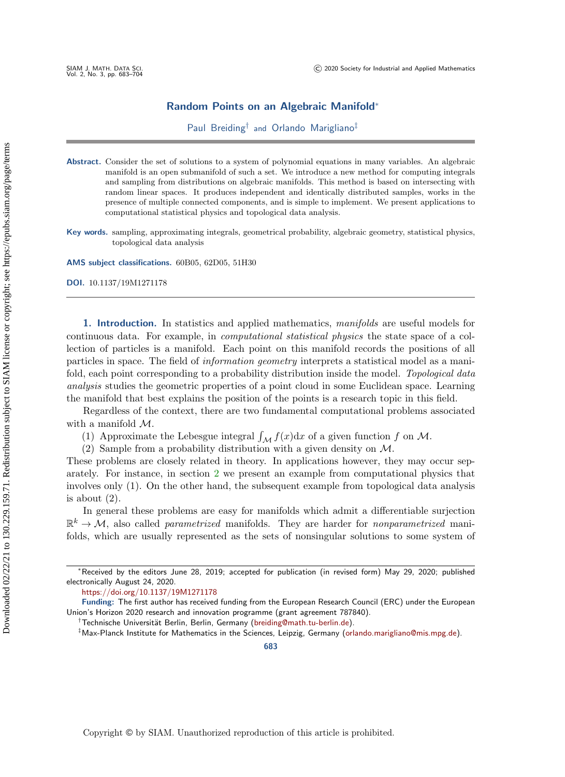## Random Points on an Algebraic Manifold\*

Paul Breiding<sup>†</sup> and Orlando Marigliano<sup>‡</sup>

Abstract. Consider the set of solutions to a system of polynomial equations in many variables. An algebraic manifold is an open submanifold of such a set. We introduce a new method for computing integrals and sampling from distributions on algebraic manifolds. This method is based on intersecting with random linear spaces. It produces independent and identically distributed samples, works in the presence of multiple connected components, and is simple to implement. We present applications to computational statistical physics and topological data analysis.

Key words. sampling, approximating integrals, geometrical probability, algebraic geometry, statistical physics, topological data analysis

AMS subject classifications. 60B05, 62D05, 51H30

DOI. 10.1137/19M1271178

1. Introduction. In statistics and applied mathematics, manifolds are useful models for continuous data. For example, in computational statistical physics the state space of a collection of particles is a manifold. Each point on this manifold records the positions of all particles in space. The field of information geometry interprets a statistical model as a manifold, each point corresponding to a probability distribution inside the model. Topological data analysis studies the geometric properties of a point cloud in some Euclidean space. Learning the manifold that best explains the position of the points is a research topic in this field.

Regardless of the context, there are two fundamental computational problems associated with a manifold  $\mathcal{M}$ .

(1) Approximate the Lebesgue integral  $\int_{\mathcal{M}} f(x) dx$  of a given function f on M.

(2) Sample from a probability distribution with a given density on  $\mathcal{M}$ .

These problems are closely related in theory. In applications however, they may occur separately. For instance, in section [2](#page-3-0) we present an example from computational physics that involves only (1). On the other hand, the subsequent example from topological data analysis is about  $(2)$ .

In general these problems are easy for manifolds which admit a differentiable surjection  $\mathbb{R}^k \rightarrow \mathcal{M}$ , also called parametrized manifolds. They are harder for nonparametrized manifolds, which are usually represented as the sets of nonsingular solutions to some system of

 $*$  Received by the editors June 28, 2019; accepted for publication (in revised form) May 29, 2020; published electronically August 24, 2020.

<https://doi.org/10.1137/19M1271178>

Funding: The first author has received funding from the European Research Council (ERC) under the European Union's Horizon 2020 research and innovation programme (grant agreement 787840).

<sup>&</sup>lt;sup>†</sup> Technische Universität Berlin, Berlin, Germany [\(breiding@math.tu-berlin.de\)](mailto:breiding@math.tu-berlin.de).

 $\dagger$ Max-Planck Institute for Mathematics in the Sciences, Leipzig, Germany [\(orlando.marigliano@mis.mpg.de\)](mailto:orlando.marigliano@mis.mpg.de).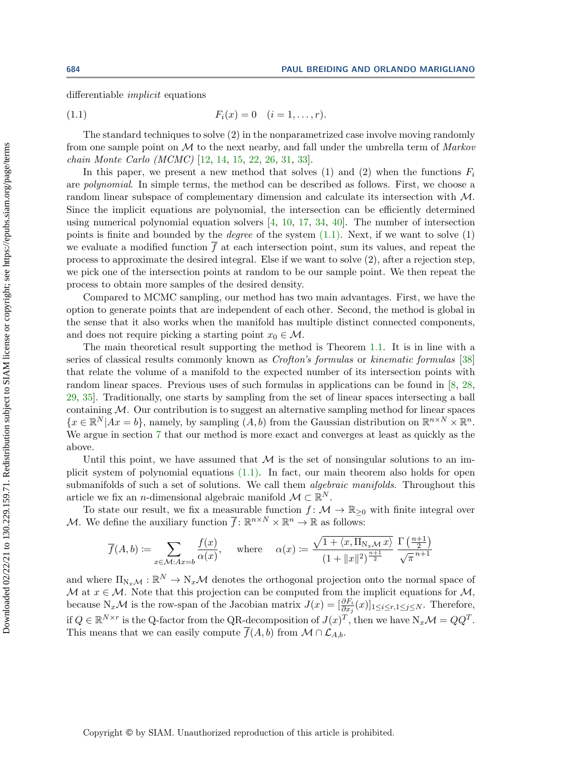differentiable implicit equations

<span id="page-1-0"></span>(1.1) 
$$
F_i(x) = 0 \quad (i = 1, ..., r).
$$

The standard techniques to solve (2) in the nonparametrized case involve moving randomly from one sample point on  $\cal{M}$  to the next nearby, and fall under the umbrella term of  $Markov$ chain Monte Carlo (MCMC) [\[12,](#page-20-0) [14,](#page-20-1) [15,](#page-20-2) [22,](#page-21-0) [26,](#page-21-1) [31,](#page-21-2) [33\]](#page-21-3).

In this paper, we present a new method that solves (1) and (2) when the functions  $F_i$ are polynomial. In simple terms, the method can be described as follows. First, we choose a random linear subspace of complementary dimension and calculate its intersection with  $\mathcal{M}$ . Since the implicit equations are polynomial, the intersection can be efficiently determined using numerical polynomial equation solvers [\[4,](#page-20-3) [10,](#page-20-4) [17,](#page-20-5) [34,](#page-21-4) [40\]](#page-21-5). The number of intersection points is finite and bounded by the *degree* of the system  $(1.1)$ . Next, if we want to solve  $(1)$ we evaluate a modified function  $\overline{f}$  at each intersection point, sum its values, and repeat the process to approximate the desired integral. Else if we want to solve (2), after a rejection step, we pick one of the intersection points at random to be our sample point. We then repeat the process to obtain more samples of the desired density.

Compared to MCMC sampling, our method has two main advantages. First, we have the option to generate points that are independent of each other. Second, the method is global in the sense that it also works when the manifold has multiple distinct connected components, and does not require picking a starting point  $x_0 \in \mathcal{M}$ .

The main theoretical result supporting the method is Theorem [1.1.](#page-2-0) It is in line with a series of classical results commonly known as *Crofton's formulas* or *kinematic formulas* [\[38\]](#page-21-6) that relate the volume of a manifold to the expected number of its intersection points with random linear spaces. Previous uses of such formulas in applications can be found in [\[8,](#page-20-6) [28,](#page-21-7) [29,](#page-21-8) [35\]](#page-21-9). Traditionally, one starts by sampling from the set of linear spaces intersecting a ball containing  $\mathcal M$ . Our contribution is to suggest an alternative sampling method for linear spaces  $\{ x \in \mathbb{R}^N | Ax = b \}$ , namely, by sampling  $(A, b)$  from the Gaussian distribution on  $\mathbb{R}^{n \times N} \times \mathbb{R}^n$ . We argue in section [7](#page-18-0) that our method is more exact and converges at least as quickly as the above.

Until this point, we have assumed that  $\cal{M}$  is the set of nonsingular solutions to an implicit system of polynomial equations [\(1.1\).](#page-1-0) In fact, our main theorem also holds for open submanifolds of such a set of solutions. We call them *algebraic manifolds*. Throughout this article we fix an *n*-dimensional algebraic manifold  $\mathcal M \subset \mathbb R^N$ .

To state our result, we fix a measurable function  $f : \mathcal{M} \rightarrow \mathbb{R}_{\geq 0}$  with finite integral over M. We define the auxiliary function  $\overline{f} : \mathbb{R}^{n \times N} \times \mathbb{R}^n \to \mathbb{R}$  as follows:

$$
\overline{f}(A,b) := \sum_{x \in \mathcal{M}:Ax=b} \frac{f(x)}{\alpha(x)}, \quad \text{ where } \quad \alpha(x) := \frac{\sqrt{1 + \langle x, \Pi_{N_x \mathcal{M}} \, x \rangle}}{(1 + \|x\|^2)^{\frac{n+1}{2}}} \frac{\Gamma\left(\frac{n+1}{2}\right)}{\sqrt{\pi}^{n+1}}
$$

and where  $\Pi_{N_x\mathcal{M}} : \mathbb{R}^N \to N_x\mathcal{M}$  denotes the orthogonal projection onto the normal space of  $\mathcal M$  at  $x \in \mathcal M$ . Note that this projection can be computed from the implicit equations for  $\mathcal M$ , because  $N_x\mathcal{M}$  is the row-span of the Jacobian matrix  $J(x) = [\frac{\partial F_i}{\partial x_j}(x)]_{1 \leq i \leq r, 1 \leq j \leq N}$ . Therefore, if  $Q \in \mathbb{R}^{N \times r}$  is the Q-factor from the QR-decomposition of  $J(x)^T$ , then we have  $N_x\mathcal{M} = QQ^T$ . This means that we can easily compute  $\overline{f}(A, b)$  from  $\mathcal{M} \cap \mathcal{L}_{A,b}$ .

Copyright © by SIAM. Unauthorized reproduction of this article is prohibited.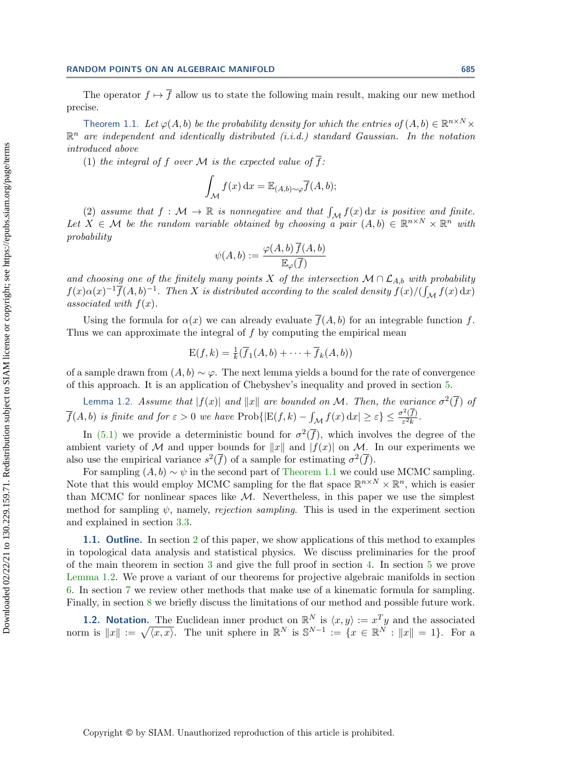## RANDOM POINTS ON AN ALGEBRAIC MANIFOLD 685

The operator  $f \mapsto \overline{f}$  allow us to state the following main result, making our new method precise.

<span id="page-2-0"></span>Theorem 1.1. Let  $\varphi (A, b)$  be the probability density for which the entries of  $(A, b) \in \mathbb{R}^{n \times N} \times$  $\mathbb{R}^n$  are independent and identically distributed (i.i.d.) standard Gaussian. In the notation introduced above

(1) the integral of f over M is the expected value of  $\overline{f}$ :

$$
\int_{\mathcal{M}} f(x) dx = \mathbb{E}_{(A,b)\sim\varphi} \overline{f}(A,b);
$$

(2) assume that  $f : \mathcal{M} \rightarrow \mathbb{R}$  is nonnegative and that  $\int_{\mathcal{M}} f(x) dx$  is positive and finite. Let  $X \in \mathcal{M}$  be the random variable obtained by choosing a pair  $(A, b) \in \mathbb{R}^{n \times N} \times \Bbb{R}^n$  with probability

$$
\psi(A,b):=\frac{\varphi(A,b)\,\overline{f}(A,b)}{\mathbb{E}_{\varphi}(\overline{f})}
$$

and choosing one of the finitely many points X of the intersection  $\mathcal{M} \cap \mathcal{L}_{A,b}$  with probability  $f(x) \alpha (x)^{-1} \overline{f}(A, b)^{-1}$ . Then X is distributed according to the scaled density  $\overline{f}(x)/(\int_{\mathcal M} f(x) \,\mathrm{d} x)$ associated with  $f(x)$ .

Using the formula for  $\alpha (x)$  we can already evaluate  $\overline{f}(A, b)$  for an integrable function f. Thus we can approximate the integral of  $f$  by computing the empirical mean

$$
E(f,k) = \frac{1}{k}(\overline{f}_1(A,b) + \cdots + \overline{f}_k(A,b))
$$

of a sample drawn from  $(A, b) \sim \varphi$ . The next lemma yields a bound for the rate of convergence of this approach. It is an application of Chebyshev's inequality and proved in section [5.](#page-15-0)

<span id="page-2-1"></span>Lemma 1.2. Assume that  $|f(x)|$  and  $||x||$  are bounded on M. Then, the variance  $\sigma^2(\overline{f})$  of  $\overline{f}(A, b)$  is finite and for  $\varepsilon > 0$  we have  $\text{Prob}\{ |E(f, k) - \int_{\mathcal{M}} f(x) dx | \geq \varepsilon \} \leq \frac{\sigma^2(\overline{f})}{\varepsilon^2 k}$  $\frac{\Gamma(f)}{\varepsilon^2 k}$ .

In [\(5.1\)](#page-15-1) we provide a deterministic bound for  $\sigma^2(\overline{f})$ , which involves the degree of the ambient variety of M and upper bounds for  $\| x\|$  and  $| f(x)|$  on M. In our experiments we also use the empirical variance  $s^2(\overline{f})$  of a sample for estimating  $\sigma^2(\overline{f})$ .

For sampling  $(A, b) \sim \psi$  in the second part of [Theorem 1.1](#page-2-0) we could use MCMC sampling. Note that this would employ MCMC sampling for the flat space  $\mathbb{R}^{n \times N} \times \mathbb{R}^n$ , which is easier than MCMC for nonlinear spaces like  $\cal{M}$ . Nevertheless, in this paper we use the simplest method for sampling  $\psi$ , namely, rejection sampling. This is used in the experiment section and explained in section [3.3.](#page-11-0)

1.1. Outline. In section [2](#page-3-0) of this paper, we show applications of this method to examples in topological data analysis and statistical physics. We discuss preliminaries for the proof of the main theorem in section [3](#page-8-0) and give the full proof in section [4.](#page-13-0) In section [5](#page-15-0) we prove [Lemma 1.2.](#page-2-1) We prove a variant of our theorems for projective algebraic manifolds in section [6.](#page-16-0) In section [7](#page-18-0) we review other methods that make use of a kinematic formula for sampling. Finally, in section [8](#page-19-0) we briefly discuss the limitations of our method and possible future work.

**1.2. Notation.** The Euclidean inner product on  $\mathbb{R}^N$  is  $\langle x, y \rangle := x^T y$  and the associated norm is  $||x|| := \sqrt{\langle x, x \rangle}$ . The unit sphere in  $\mathbb{R}^N$  is  $\mathbb{S}^{N-1} := \{ x \in \mathbb{R}^N : ||x|| = 1 \}$ . For a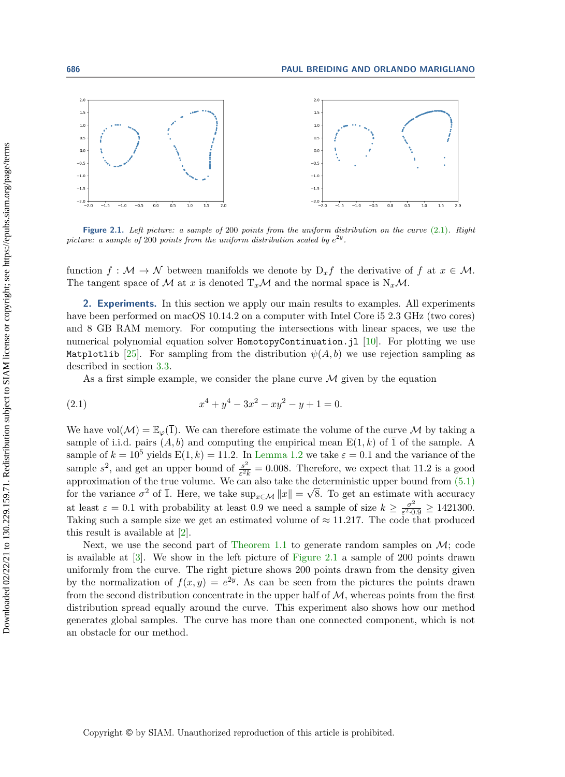<span id="page-3-2"></span>

Figure 2.1. Left picture: a sample of 200 points from the uniform distribution on the curve [\(2.1\)](#page-3-1). Right picture: a sample of 200 points from the uniform distribution scaled by  $e^{2y}$ .

function  $f : \mathcal{M} \rightarrow \mathcal{N}$  between manifolds we denote by  $D_x f$  the derivative of f at  $x \in \mathcal{M}$ . The tangent space of  $\mathcal M$  at x is denoted  $T_x\mathcal M$  and the normal space is N<sub>x</sub> $\mathcal M$ .

<span id="page-3-0"></span>2. Experiments. In this section we apply our main results to examples. All experiments have been performed on macOS 10.14.2 on a computer with Intel Core is 2.3 GHz (two cores) and 8 GB RAM memory. For computing the intersections with linear spaces, we use the numerical polynomial equation solver  $HomotopyContinuation$ . jl [\[10\]](#page-20-4). For plotting we use Matplotlib [\[25\]](#page-21-10). For sampling from the distribution  $\psi (A, b)$  we use rejection sampling as described in section [3.3.](#page-11-0)

<span id="page-3-1"></span>As a first simple example, we consider the plane curve  $\cal{M}$  given by the equation

(2.1) 
$$
x^4 + y^4 - 3x^2 - xy^2 - y + 1 = 0.
$$

We have vol $(\mathcal{M} ) = \mathbb{E}_{\varphi} (\bar{1}).$  We can therefore estimate the volume of the curve M by taking a sample of i.i.d. pairs  $(A, b)$  and computing the empirical mean  $E(1, k)$  of  $\overline{1}$  of the sample. A sample of  $k = 10^5$  yields  $E(1, k) = 11.2$ . In [Lemma 1.2](#page-2-1) we take  $\varepsilon = 0.1$  and the variance of the sample  $s^2$ , and get an upper bound of  $\frac{s^2}{s^2}$  $\frac{s^2}{\varepsilon^2 k} = 0.008$ . Therefore, we expect that 11.2 is a good approximation of the true volume. We can also take the deterministic upper bound from  $(5.1)$ for the variance  $\sigma^2$  of  $\overline{1}$ . Here, we take  $\sup_{x \in \mathcal{M}} ||x|| = \sqrt{8}$ . To get an estimate with accuracy at least  $\varepsilon = 0.1$  with probability at least 0.9 we need a sample of size  $k \geq \frac{\sigma^2}{\varepsilon^2}$  $\frac{\sigma^2}{\varepsilon^2 \cdot 0.9} \geq 1421300.$ Taking such a sample size we get an estimated volume of  $\approx 11.217$ . The code that produced this result is available at [\[2\]](#page-20-7).

Next, we use the second part of [Theorem 1.1](#page-2-0) to generate random samples on  $\mathcal{M}$ ; code is available at [\[3\]](#page-20-8). We show in the left picture of [Figure 2.1](#page-3-2) a sample of 200 points drawn uniformly from the curve. The right picture shows 200 points drawn from the density given by the normalization of  $f(x, y) = e^{2y}$ . As can be seen from the pictures the points drawn from the second distribution concentrate in the upper half of  $\mathcal{M}$ , whereas points from the first distribution spread equally around the curve. This experiment also shows how our method generates global samples. The curve has more than one connected component, which is not an obstacle for our method.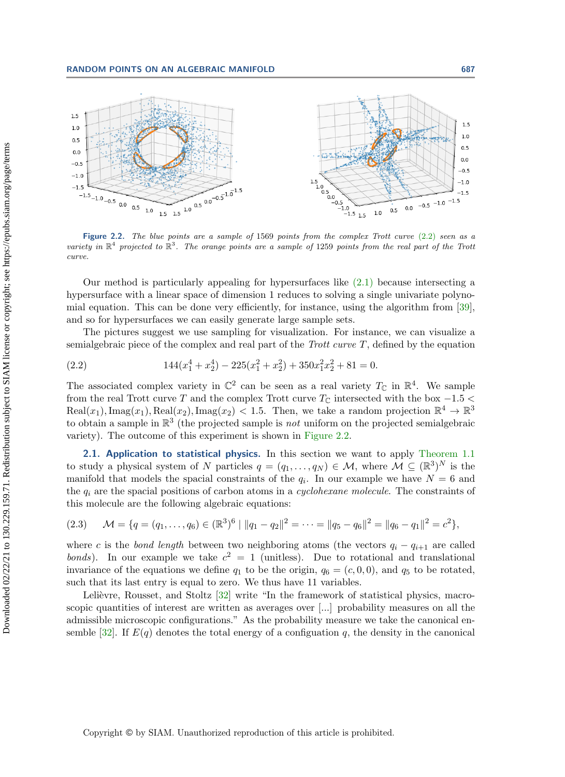<span id="page-4-1"></span>

Figure 2.2. The blue points are a sample of 1569 points from the complex Trott curve [\(2.2\)](#page-4-0) seen as a variety in  $\mathbb{R}^4$  projected to  $\mathbb{R}^3$ . The orange points are a sample of 1259 points from the real part of the Trott curve.

Our method is particularly appealing for hypersurfaces like [\(2.1\)](#page-3-1) because intersecting a hypersurface with a linear space of dimension 1 reduces to solving a single univariate polynomial equation. This can be done very efficiently, for instance, using the algorithm from [\[39\]](#page-21-11), and so for hypersurfaces we can easily generate large sample sets.

The pictures suggest we use sampling for visualization. For instance, we can visualize a semialgebraic piece of the complex and real part of the *Trott curve T*, defined by the equation

<span id="page-4-0"></span>(2.2) 
$$
144(x_1^4 + x_2^4) - 225(x_1^2 + x_2^2) + 350x_1^2x_2^2 + 81 = 0.
$$

The associated complex variety in  $\Bbb C^2$  can be seen as a real variety  $T_\Bbb C$  in  $\Bbb R^4$ . We sample from the real Trott curve T and the complex Trott curve  $T_\mathbb{C}$  intersected with the box  $-1.5 <$ Real $(x_1)$ , Imag $(x_1)$ , Real $(x_2)$ , Imag $(x_2)$  < 1.5. Then, we take a random projection  $\mathbb{R}^4 \to \mathbb{R}^3$ to obtain a sample in  $\mathbb{R}^3$  (the projected sample is *not* uniform on the projected semialgebraic variety). The outcome of this experiment is shown in [Figure 2.2.](#page-4-1)

2.1. Application to statistical physics. In this section we want to apply [Theorem 1.1](#page-2-0) to study a physical system of N particles  $q = (q_1, \ldots, q_N) \in \mathcal{M}$ , where  $\mathcal{M} \subseteq (\Bbb R^3)^N$  is the manifold that models the spacial constraints of the  $q_i$ . In our example we have  $N = 6$  and the  $q_i$  are the spacial positions of carbon atoms in a *cyclohexane molecule*. The constraints of this molecule are the following algebraic equations:

<span id="page-4-2"></span>
$$
(2.3) \quad \mathcal{M} = \{q = (q_1, \ldots, q_6) \in (\mathbb{R}^3)^6 \mid ||q_1 - q_2||^2 = \cdots = ||q_5 - q_6||^2 = ||q_6 - q_1||^2 = c^2\},\
$$

where c is the bond length between two neighboring atoms (the vectors  $q_i - q_{i+1}$  are called bonds). In our example we take  $c^2 = 1$  (unitless). Due to rotational and translational invariance of the equations we define  $q_1$  to be the origin,  $q_6 = (c, 0, 0)$ , and  $q_5$  to be rotated, such that its last entry is equal to zero. We thus have 11 variables.

Lelièvre, Rousset, and Stoltz  $[32]$  write "In the framework of statistical physics, macroscopic quantities of interest are written as averages over [...] probability measures on all the admissible microscopic configurations." As the probability measure we take the canonical en-semble [\[32\]](#page-21-12). If  $E(q)$  denotes the total energy of a configuation q, the density in the canonical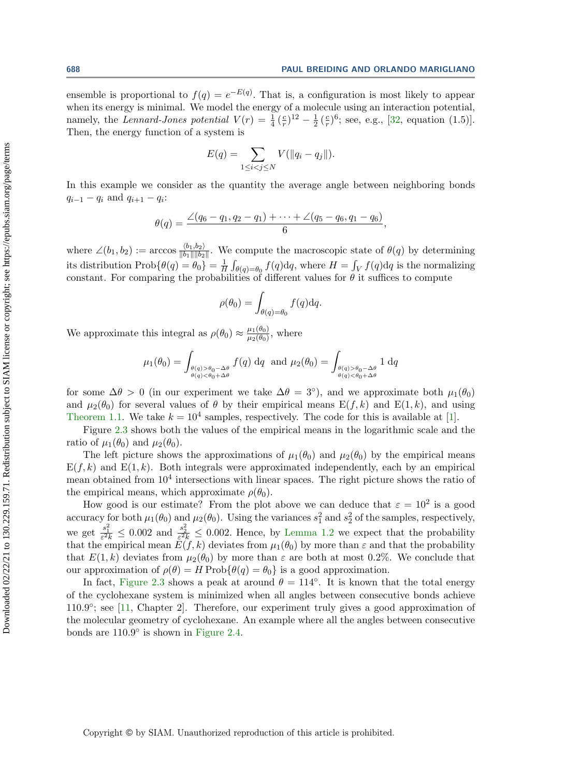ensemble is proportional to  $f(q) = e^{-E(q)}$ . That is, a configuration is most likely to appear when its energy is minimal. We model the energy of a molecule using an interaction potential, namely, the Lennard-Jones potential  $V(r) = \frac{1}{4}(\frac{c}{r})$  $(\frac{c}{r})^{12} - \frac{1}{2}$  $rac{1}{2}$  ( $rac{c}{r}$  $(\frac{c}{r})^6$ ; see, e.g., [\[32,](#page-21-12) equation (1.5)]. Then, the energy function of a system is

$$
E(q) = \sum_{1 \leq i < j \leq N} V(||q_i - q_j||).
$$

In this example we consider as the quantity the average angle between neighboring bonds  $q_{i-1} - q_i$  and  $q_{i+1} - q_i$ :

$$
\theta(q) = \frac{\angle (q_6 - q_1, q_2 - q_1) + \cdots + \angle (q_5 - q_6, q_1 - q_6)}{6},
$$

where  $\angle (b_1, b_2) := \arccos \frac{\langle b_1, b_2\rangle}{\| b_1\| \| b_2\|}$ . We compute the macroscopic state of  $\theta (q)$  by determining its distribution  $\text{Prob}\{ \theta (q) = \theta_0\} = \frac{1}{H}$  $\frac{1}{H}\int_{\theta(q)=\theta_0}f(q)\mathrm{d}q$ , where  $H=\int_Vf(q)\mathrm{d}q$  is the normalizing constant. For comparing the probabilities of different values for  $\theta$  it suffices to compute

$$
\rho(\theta_0) = \int_{\theta(q) = \theta_0} f(q) \mathrm{d}q.
$$

We approximate this integral as  $\rho (\theta_0) \approx \frac{\mu_1(\theta_0)}{\mu_2(\theta_0)}$  $\frac{\mu_1(\theta_0)}{\mu_2(\theta_0)}$ , where

$$
\mu_1(\theta_0) = \int_{\substack{\theta(q) > \theta_0 - \Delta\theta \\ \theta(q) < \theta_0 + \Delta\theta}} f(q) dq \text{ and } \mu_2(\theta_0) = \int_{\substack{\theta(q) > \theta_0 - \Delta\theta \\ \theta(q) < \theta_0 + \Delta\theta}} 1 dq
$$

for some  $\Delta \theta > 0$  (in our experiment we take  $\Delta \theta = 3\degree$ ), and we approximate both  $\mu_1(\theta_0)$ and  $\mu_2(\theta_0)$  for several values of  $\theta$  by their empirical means  $E(f, k)$  and  $E(1, k)$ , and using [Theorem 1.1.](#page-2-0) We take  $k = 10^4$  samples, respectively. The code for this is available at [\[1\]](#page-20-9).

Figure [2.3](#page-6-0) shows both the values of the empirical means in the logarithmic scale and the ratio of  $\mu_1(\theta_0)$  and  $\mu_2(\theta_0)$ .

The left picture shows the approximations of  $\mu_1(\theta_0)$  and  $\mu_2(\theta_0)$  by the empirical means  $E(f, k)$  and  $E(1, k)$ . Both integrals were approximated independently, each by an empirical mean obtained from  $10^4$  intersections with linear spaces. The right picture shows the ratio of the empirical means, which approximate  $\rho (\theta_0)$ .

How good is our estimate? From the plot above we can deduce that  $\varepsilon = 10^2$  is a good accuracy for both  $\mu_1(\theta_0)$  and  $\mu_2(\theta_0)$ . Using the variances  $s_1^2$  and  $s_2^2$  of the samples, respectively, we get  $\frac{s_1^2}{\varepsilon^2 k} \leq 0.002$  and  $\frac{s_2^2}{\varepsilon^2 k} \leq 0.002$ . Hence, by [Lemma 1.2](#page-2-1) we expect that the probability that the empirical mean  $E(f, k)$  deviates from  $\mu_1(\theta_0)$  by more than  $\varepsilon$  and that the probability that  $E(1, k)$  deviates from  $\mu_2(\theta_0)$  by more than  $\varepsilon$  are both at most 0.2\%. We conclude that our approximation of  $\rho (\theta ) = H$  Prob $\{ \theta (q) = \theta_0\}$  is a good approximation.

In fact, [Figure 2.3](#page-6-0) shows a peak at around  $\theta = 114^\circ$ . It is known that the total energy of the cyclohexane system is minimized when all angles between consecutive bonds achieve 110.9°; see [\[11,](#page-20-10) Chapter 2]. Therefore, our experiment truly gives a good approximation of the molecular geometry of cyclohexane. An example where all the angles between consecutive bonds are  $110.9^\circ$  is shown in [Figure 2.4.](#page-6-1)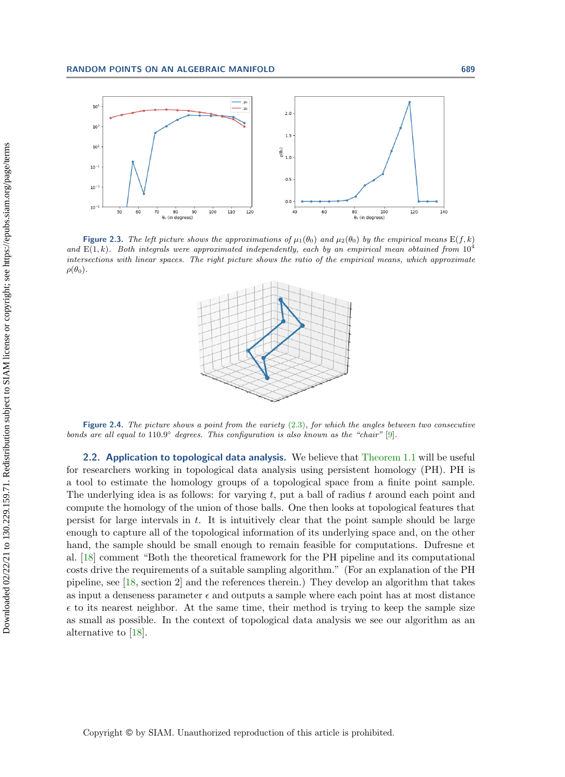<span id="page-6-0"></span>

<span id="page-6-1"></span>Figure 2.3. The left picture shows the approximations of  $\mu_1(\theta_0)$  and  $\mu_2(\theta_0)$  by the empirical means E(f, k) and  $E(1, k)$ . Both integrals were approximated independently, each by an empirical mean obtained from  $10^4$ intersections with linear spaces. The right picture shows the ratio of the empirical means, which approximate  $\rho (\theta_0)$ .



Figure 2.4. The picture shows a point from the variety  $(2.3)$ , for which the angles between two consecutive bonds are all equal to  $110.9^{\circ}$  degrees. This configuration is also known as the "chair" [\[9\]](#page-20-11).

2.2. Application to topological data analysis. We believe that [Theorem 1.1](#page-2-0) will be useful for researchers working in topological data analysis using persistent homology (PH). PH is a tool to estimate the homology groups of a topological space from a finite point sample. The underlying idea is as follows: for varying  $t$ , put a ball of radius  $t$  around each point and compute the homology of the union of those balls. One then looks at topological features that persist for large intervals in  $t$ . It is intuitively clear that the point sample should be large enough to capture all of the topological information of its underlying space and, on the other hand, the sample should be small enough to remain feasible for computations. Dufresne et al. [\[18\]](#page-20-12) comment "Both the theoretical framework for the PH pipeline and its computational costs drive the requirements of a suitable sampling algorithm." (For an explanation of the PH pipeline, see [\[18,](#page-20-12) section 2] and the references therein.) They develop an algorithm that takes as input a denseness parameter  $\epsilon$  and outputs a sample where each point has at most distance  $\epsilon$  to its nearest neighbor. At the same time, their method is trying to keep the sample size as small as possible. In the context of topological data analysis we see our algorithm as an alternative to [\[18\]](#page-20-12).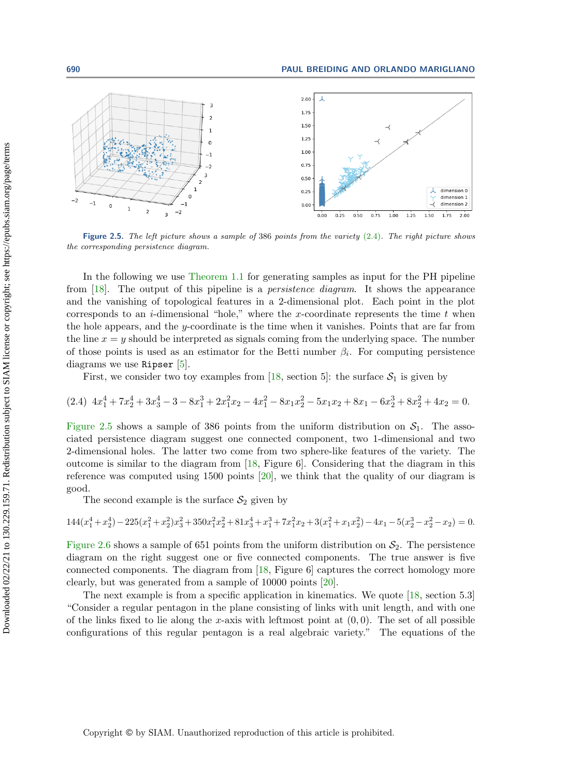<span id="page-7-1"></span>

Figure 2.5. The left picture shows a sample of 386 points from the variety [\(2.4\)](#page-7-0). The right picture shows the corresponding persistence diagram.

In the following we use [Theorem 1.1](#page-2-0) for generating samples as input for the PH pipeline from [\[18\]](#page-20-12). The output of this pipeline is a *persistence diagram*. It shows the appearance and the vanishing of topological features in a 2-dimensional plot. Each point in the plot corresponds to an *i*-dimensional "hole," where the x-coordinate represents the time  $t$  when the hole appears, and the y-coordinate is the time when it vanishes. Points that are far from the line  $x = y$  should be interpreted as signals coming from the underlying space. The number of those points is used as an estimator for the Betti number  $\beta_i$ . For computing persistence diagrams we use Ripser [\[5\]](#page-20-13).

<span id="page-7-0"></span>First, we consider two toy examples from [\[18,](#page-20-12) section 5]: the surface  $S_1$  is given by

$$
(2.4) \ 4x_1^4 + 7x_2^4 + 3x_3^4 - 3 - 8x_1^3 + 2x_1^2x_2 - 4x_1^2 - 8x_1x_2^2 - 5x_1x_2 + 8x_1 - 6x_2^3 + 8x_2^2 + 4x_2 = 0.
$$

[Figure 2.5](#page-7-1) shows a sample of 386 points from the uniform distribution on  $S_1$ . The associated persistence diagram suggest one connected component, two 1-dimensional and two 2-dimensional holes. The latter two come from two sphere-like features of the variety. The outcome is similar to the diagram from [\[18,](#page-20-12) Figure 6]. Considering that the diagram in this reference was computed using 1500 points [\[20\]](#page-21-13), we think that the quality of our diagram is good.

The second example is the surface  $S_2$  given by

$$
144(x_1^4 + x_2^4) - 225(x_1^2 + x_2^2)x_3^2 + 350x_1^2x_2^2 + 81x_3^4 + x_1^3 + 7x_1^2x_2 + 3(x_1^2 + x_1x_2^2) - 4x_1 - 5(x_2^3 - x_2^2 - x_2) = 0.
$$

[Figure 2.6](#page-8-1) shows a sample of 651 points from the uniform distribution on  $\mathcal{S}_2$ . The persistence diagram on the right suggest one or five connected components. The true answer is five connected components. The diagram from [\[18,](#page-20-12) Figure 6] captures the correct homology more clearly, but was generated from a sample of 10000 points [\[20\]](#page-21-13).

The next example is from a specific application in kinematics. We quote [\[18,](#page-20-12) section 5.3] ``Consider a regular pentagon in the plane consisting of links with unit length, and with one of the links fixed to lie along the x-axis with leftmost point at  $(0, 0)$ . The set of all possible configurations of this regular pentagon is a real algebraic variety."" The equations of the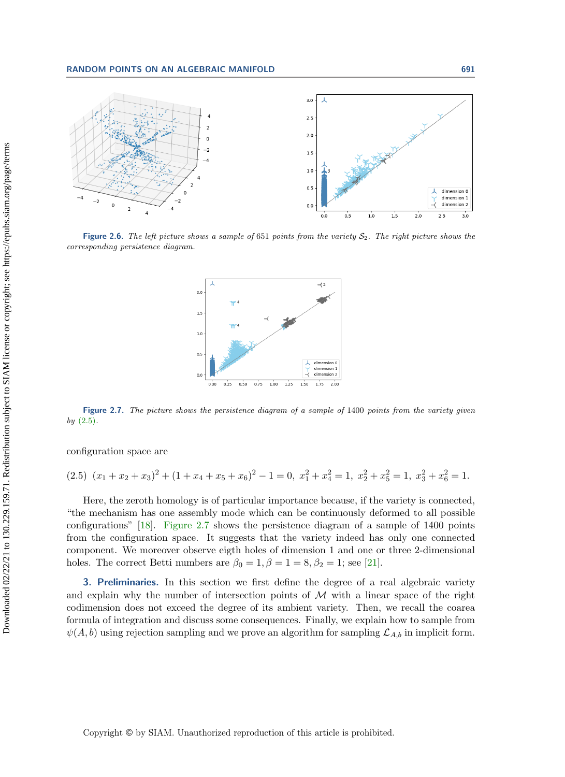<span id="page-8-1"></span>

<span id="page-8-3"></span>Figure 2.6. The left picture shows a sample of 651 points from the variety  $S_2$ . The right picture shows the corresponding persistence diagram.



Figure 2.7. The picture shows the persistence diagram of a sample of 1400 points from the variety given  $by (2.5).$  $by (2.5).$  $by (2.5).$ 

configuration space are

<span id="page-8-2"></span>
$$
(2.5) \ (x_1 + x_2 + x_3)^2 + (1 + x_4 + x_5 + x_6)^2 - 1 = 0, \ x_1^2 + x_4^2 = 1, \ x_2^2 + x_5^2 = 1, \ x_3^2 + x_6^2 = 1.
$$

Here, the zeroth homology is of particular importance because, if the variety is connected, ``the mechanism has one assembly mode which can be continuously deformed to all possible configurations" [\[18\]](#page-20-12). [Figure 2.7](#page-8-3) shows the persistence diagram of a sample of  $1400$  points from the configuration space. It suggests that the variety indeed has only one connected component. We moreover observe eigth holes of dimension 1 and one or three 2-dimensional holes. The correct Betti numbers are  $\beta_0 = 1, \beta = 1 = 8, \beta_2 = 1$ ; see [\[21\]](#page-21-14).

<span id="page-8-0"></span>3. Preliminaries. In this section we first define the degree of a real algebraic variety and explain why the number of intersection points of  $\cal{M}$  with a linear space of the right codimension does not exceed the degree of its ambient variety. Then, we recall the coarea formula of integration and discuss some consequences. Finally, we explain how to sample from  $\psi (A, b)$  using rejection sampling and we prove an algorithm for sampling  $\mathcal{L}_{A,b}$  in implicit form.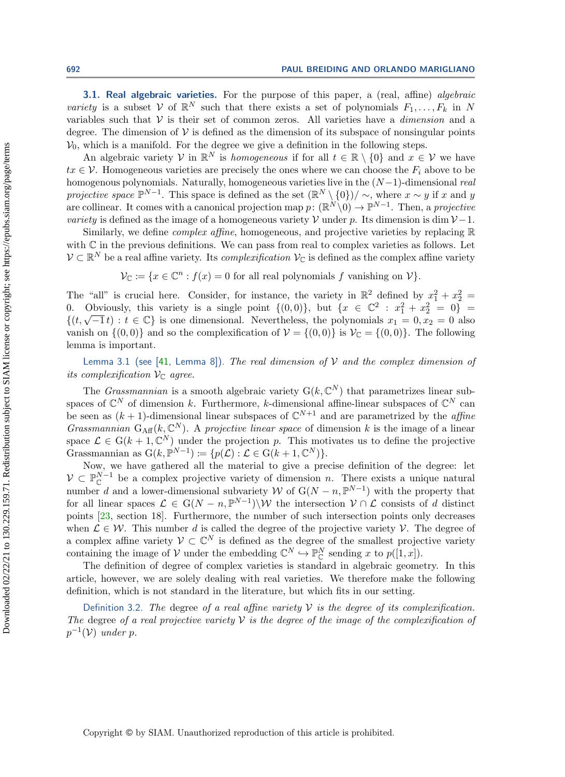**3.1. Real algebraic varieties.** For the purpose of this paper, a (real, affine) *algebraic* variety is a subset  $V$  of  $\mathbb{R}^N$  such that there exists a set of polynomials  $F_1, \ldots, F_k$  in N variables such that  $\mathcal V$  is their set of common zeros. All varieties have a *dimension* and a degree. The dimension of  $\mathcal V$  is defined as the dimension of its subspace of nonsingular points  $\mathcal{V}_0$ , which is a manifold. For the degree we give a definition in the following steps.

An algebraic variety  $\mathcal V$  in  $\Bbb R^N$  is homogeneous if for all  $t \in \Bbb R \setminus \{ 0\}$  and  $x \in \mathcal V$  we have  $tx \in \mathcal{V}$ . Homogeneous varieties are precisely the ones where we can choose the  $F_i$  above to be homogenous polynomials. Naturally, homogeneous varieties live in the  $(N-1)$ -dimensional real projective space  $\mathbb{P}^{N-1}$ . This space is defined as the set  $(\mathbb{R}^N \setminus \{0\})/\sim$ , where  $x \sim y$  if x and y are collinear. It comes with a canonical projection map  $p: (\mathbb{R}^N \setminus 0) \to \mathbb{P}^{N-1}$ . Then, a projective variety is defined as the image of a homogeneous variety  $\mathcal V$  under p. Its dimension is dim  $\mathcal V$  - 1.

Similarly, we define *complex affine*, homogeneous, and projective varieties by replacing  $\mathbb{R}$ with  $\mathbb C$  in the previous definitions. We can pass from real to complex varieties as follows. Let  $\mathcal V \subset \mathbb R^N$  be a real affine variety. Its *complexification*  $\mathcal V_{\mathbb C}$  is defined as the complex affine variety

 $\mathcal V_{\Bbb C} := \{ x \in \Bbb C^n : f(x) = 0 \text{ for all real polynomials } f \text{ vanishing on } \mathcal V \}.$ 

The "all" is crucial here. Consider, for instance, the variety in  $\Bbb R^2$  defined by  $x_1^2 + x_2^2 =$ 0. Obviously, this variety is a single point  $\{ (0, 0) \}$ , but  $\{ x \in \Bbb C^2 : x_1^2 + x_2^2 = 0 \} =$  $\{ (t, \sqrt{-1} t) : t \in \mathbb{C} \}$  is one dimensional. Nevertheless, the polynomials  $x_1 = 0, x_2 = 0$  also vanish on  $\{ (0, 0)\}$  and so the complexification of  $\mathcal{V} = \{ (0, 0)\}$  is  $\mathcal{V}_{\mathbb{C}} = \{ (0, 0)\}$ . The following lemma is important.

<span id="page-9-0"></span>Lemma 3.1 (see [\[41,](#page-21-15) Lemma 8]). The real dimension of  $\mathcal V$  and the complex dimension of its complexification  $\mathcal{V}_{\mathbb{C}}$  agree.

The *Grassmannian* is a smooth algebraic variety  $G(k, \mathbb{C}^N)$  that parametrizes linear subspaces of  $\mathbb C^N$  of dimension k. Furthermore, k-dimensional affine-linear subspaces of  $\mathbb C^N$  can be seen as  $(k+1)$ -dimensional linear subspaces of  $\mathbb C^{N+1}$  and are parametrized by the *affine* Grassmannian  $G_{\mathrm{Aff}}(k, \mathbb C^N)$ . A projective linear space of dimension k is the image of a linear space  $\mathcal L \in G(k + 1, \mathbb C^N)$  under the projection p. This motivates us to define the projective Grassmannian as  $\mathrm{G}(k, \mathbb{P}^{N-1}) \coloneqq \{ p(\mathcal{L}) : \mathcal{L} \in \mathrm{G}(k + 1, \mathbb{C}^N) \}.$ 

Now, we have gathered all the material to give a precise definition of the degree: let  $\mathcal{V} \subset \mathbb{P}_{\mathbb{C}}^{N-1}$  be a complex projective variety of dimension n. There exists a unique natural number d and a lower-dimensional subvariety W of  $G(N - n, \Bbb P^{N-1})$  with the property that for all linear spaces  $\mathcal{L} \in G(N - n, \mathbb{P}^{N-1}) \setminus \mathcal{W}$  the intersection  $\mathcal{V} \cap \mathcal{L}$  consists of d distinct points [\[23,](#page-21-16) section 18]. Furthermore, the number of such intersection points only decreases when  $\mathcal{L} \in \mathcal{W}$ . This number d is called the degree of the projective variety  $\mathcal{V}$ . The degree of a complex affine variety  $\mathcal V \subset \mathbb C^N$  is defined as the degree of the smallest projective variety containing the image of  $\mathcal V$  under the embedding  $\mathbb C^N \hookrightarrow \mathbb P^N_{\mathbb C}$  sending x to  $p([1, x])$ .

The definition of degree of complex varieties is standard in algebraic geometry. In this article, however, we are solely dealing with real varieties. We therefore make the following definition, which is not standard in the literature, but which fits in our setting.

Definition 3.2. The degree of a real affine variety  $\mathcal V$  is the degree of its complexification. The degree of a real projective variety  $\mathcal V$  is the degree of the image of the complexification of  $p^{-1}(\mathcal{V})$  under p.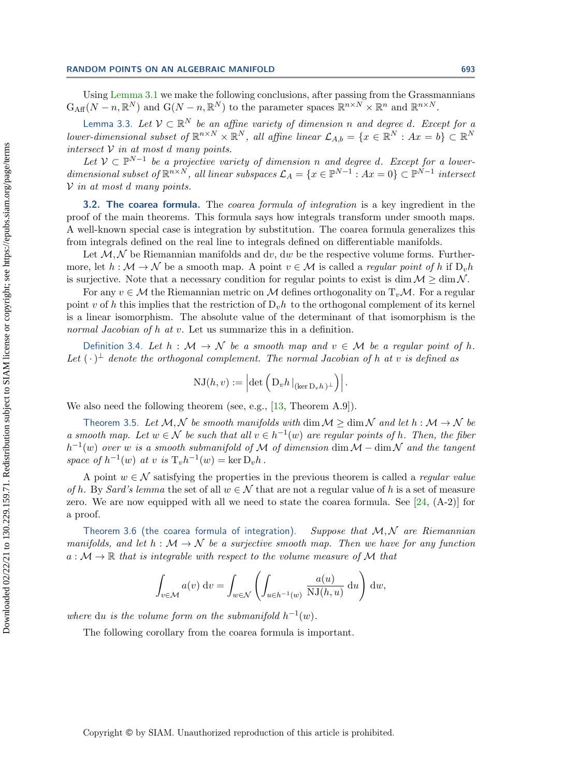Using [Lemma 3.1](#page-9-0) we make the following conclusions, after passing from the Grassmannians  $\mathrm{G}_{\mathrm{Aff}}(N - n, \mathbb R^N)$  and  $\mathrm{G}(N - n, \mathbb R^N)$  to the parameter spaces  $\mathbb R^{n \times N} \times \mathbb R^n$  and  $\mathbb R^{n \times N}$ .

Lemma 3.3. Let  $\mathcal V \subset \mathbb R^N$  be an affine variety of dimension n and degree d. Except for a lower-dimensional subset of  $\mathbb{R}^{n \times N} \times \Bbb{R}^N$ , all affine linear  $\mathcal{L}_{A,b} = \{x \in \Bbb{R}^N : Ax = b\} \subset \Bbb{R}^N$ intersect  $\mathcal V$  in at most d many points.

Let  $V \subset \Bbb P^{N-1}$  be a projective variety of dimension n and degree d. Except for a lowerdimensional subset of  $\mathbb{R}^{n \times N}$ , all linear subspaces  $\mathcal{L}_A = \{ x \in \mathbb{P}^{N-1} : Ax = 0 \} \subset \mathbb{P}^{N-1}$  intersect  $\mathcal V$  in at most d many points.

**3.2. The coarea formula.** The *coarea formula of integration* is a key ingredient in the proof of the main theorems. This formula says how integrals transform under smooth maps. A well-known special case is integration by substitution. The coarea formula generalizes this from integrals defined on the real line to integrals defined on differentiable manifolds.

Let  $\mathcal{M}, \mathcal{N}$  be Riemannian manifolds and dv, dw be the respective volume forms. Furthermore, let  $h : \mathcal{M} \rightarrow \mathcal{N}$  be a smooth map. A point  $v \in \mathcal{M}$  is called a *regular point of h* if  $D_v h$ is surjective. Note that a necessary condition for regular points to exist is dim  $\mathcal{M} \geq \dim \mathcal{N}$ .

For any  $v \in \mathcal{M}$  the Riemannian metric on  $\mathcal{M}$  defines orthogonality on  $T_v\mathcal{M}$ . For a regular point v of h this implies that the restriction of  $D_v h$  to the orthogonal complement of its kernel is a linear isomorphism. The absolute value of the determinant of that isomorphism is the normal Jacobian of h at v. Let us summarize this in a definition.

Definition 3.4. Let  $h : \mathcal{M} \rightarrow \mathcal{N}$  be a smooth map and  $v \in \mathcal{M}$  be a regular point of h. Let  $(\cdot )^{\perp}$  denote the orthogonal complement. The normal Jacobian of h at v is defined as

$$
NJ(h, v) := \left| \det \left( D_v h \, |_{(\ker D_v h)^{\perp}} \right) \right|.
$$

We also need the following theorem (see, e.g., [\[13,](#page-20-14) Theorem A.9]).

Theorem 3.5. Let  $\mathcal{M}, \mathcal{N}$  be smooth manifolds with dim  $\mathcal{M} \geq \dim \mathcal{N}$  and let  $h : \mathcal{M} \rightarrow \mathcal{N}$  be a smooth map. Let  $w \in \mathcal{N}$  be such that all  $v \in h^{-1}(w)$  are regular points of h. Then, the fiber  $h^{-1}(w)$  over w is a smooth submanifold of M of dimension dim  $\mathcal{M}$  – dim $\mathcal{N}$  and the tangent space of  $h^{-1}(w)$  at v is  $T_vh^{-1}(w) = \ker D_vh$ .

A point  $w \in \mathcal{N}$  satisfying the properties in the previous theorem is called a *regular value* of h. By Sard's lemma the set of all  $w \in \mathcal{N}$  that are not a regular value of h is a set of measure zero. We are now equipped with all we need to state the coarea formula. See  $[24, (A-2)]$  for a proof.

<span id="page-10-0"></span>Theorem 3.6 (the coarea formula of integration). Suppose that  $\mathcal{M}$ ,  $\mathcal{N}$  are Riemannian manifolds, and let  $h : \mathcal{M} \rightarrow \mathcal{N}$  be a surjective smooth map. Then we have for any function  $a : \mathcal{M} \rightarrow \mathbb{R}$  that is integrable with respect to the volume measure of  $\mathcal{M}$  that

$$
\int_{v \in \mathcal{M}} a(v) dv = \int_{w \in \mathcal{N}} \left( \int_{u \in h^{-1}(w)} \frac{a(u)}{\text{NJ}(h, u)} du \right) dw,
$$

where du is the volume form on the submanifold  $h^{-1}(w)$ .

<span id="page-10-1"></span>The following corollary from the coarea formula is important.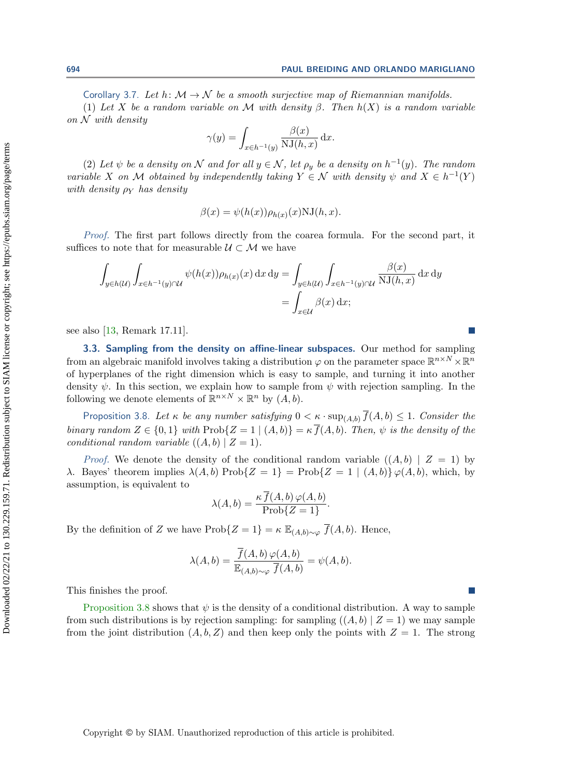694 PAUL BREIDING AND ORLANDO MARIGLIANO

Corollary 3.7. Let h:  $\mathcal{M} \rightarrow \mathcal{N}$  be a smooth surjective map of Riemannian manifolds.

(1) Let X be a random variable on M with density  $\beta$ . Then  $h(X)$  is a random variable on  $\mathcal N$  with density

$$
\gamma(y) = \int_{x \in h^{-1}(y)} \frac{\beta(x)}{\text{NJ}(h, x)} \, \mathrm{d}x.
$$
  
be a density on  $\mathcal{N}$  and for all  $y \in \mathcal{N}$ , let  $\rho_y$  be a density on  $h^{-1}(y)$ .

(2) Let  $\psi$  i The random variable X on M obtained by independently taking  $Y \in \mathcal{N}$  with density  $\psi$  and  $X \in h^{-1}(Y)$ with density  $\rho_Y$  has density

$$
\beta(x) = \psi(h(x))\rho_{h(x)}(x) \text{NJ}(h, x).
$$

Proof. The first part follows directly from the coarea formula. For the second part, it suffices to note that for measurable  $\mathcal{U} \subset \mathcal{M}$  we have

$$
\int_{y \in h(\mathcal{U})} \int_{x \in h^{-1}(y) \cap \mathcal{U}} \psi(h(x)) \rho_{h(x)}(x) dx dy = \int_{y \in h(\mathcal{U})} \int_{x \in h^{-1}(y) \cap \mathcal{U}} \frac{\beta(x)}{\text{NJ}(h, x)} dx dy
$$

$$
= \int_{x \in \mathcal{U}} \beta(x) dx;
$$

see also [\[13,](#page-20-14) Remark 17.11].

<span id="page-11-0"></span>3.3. Sampling from the density on affine-linear subspaces. Our method for sampling from an algebraic manifold involves taking a distribution  $\varphi$  on the parameter space  $\mathbb{R}^{n \times N} \times \mathbb{R}^n$ of hyperplanes of the right dimension which is easy to sample, and turning it into another density  $\psi$ . In this section, we explain how to sample from  $\psi$  with rejection sampling. In the following we denote elements of  $\mathbb{R}^{n \times N} \times \mathbb{R}^n$  by  $(A, b)$ .

<span id="page-11-1"></span>Proposition 3.8. Let  $\kappa$  be any number satisfying  $0 < \kappa \cdot \sup_{(A, b)} \overline{f}(A, b) \leq 1$ . Consider the binary random  $Z \in \{ 0, 1\}$  with  $\text{Prob}\{ Z = 1 \mid (A, b)\} = \kappa \overline{f}(A, b)$ . Then,  $\psi$  is the density of the conditional random variable  $((A, b) | Z = 1)$ .

*Proof.* We denote the density of the conditional random variable  $((A, b) | Z = 1)$  by  $\lambda$ . Bayes' theorem implies  $\lambda (A, b)$  Prob $\{ Z = 1 \} = \text{Prob}\{ Z = 1 | (A, b)\} \varphi (A, b)$ , which, by assumption, is equivalent to

$$
\lambda(A, b) = \frac{\kappa f(A, b) \varphi(A, b)}{\text{Prob}\{Z = 1\}}.
$$

By the definition of Z we have  $\text{Prob}\{ Z = 1\} = \kappa \mathbb{E}_{(A,b)\sim \varphi} \overline{f}(A, b).$  Hence,

$$
\lambda(A,b) = \frac{\overline{f}(A,b) \varphi(A,b)}{\mathbb{E}_{(A,b)\sim\varphi} \overline{f}(A,b)} = \psi(A,b).
$$

[Proposition 3.8](#page-11-1) shows that  $\psi$  is the density of a conditional distribution. A way to sample from such distributions is by rejection sampling: for sampling  $((A, b) | Z = 1)$  we may sample from the joint distribution  $(A, b, Z)$  and then keep only the points with  $Z = 1$ . The strong

$$
f_{\rm{max}}
$$

Downloaded 02/22/21 to 130.229.159.71. Redistribution subject to SIAM license or copyright; see https://epubs.siam.org/page/terms

Downloaded 02/22/21 to 130.229.159.71. Redistribution subject to SIAM license or copyright; see https://epubs.siam.org/page/terms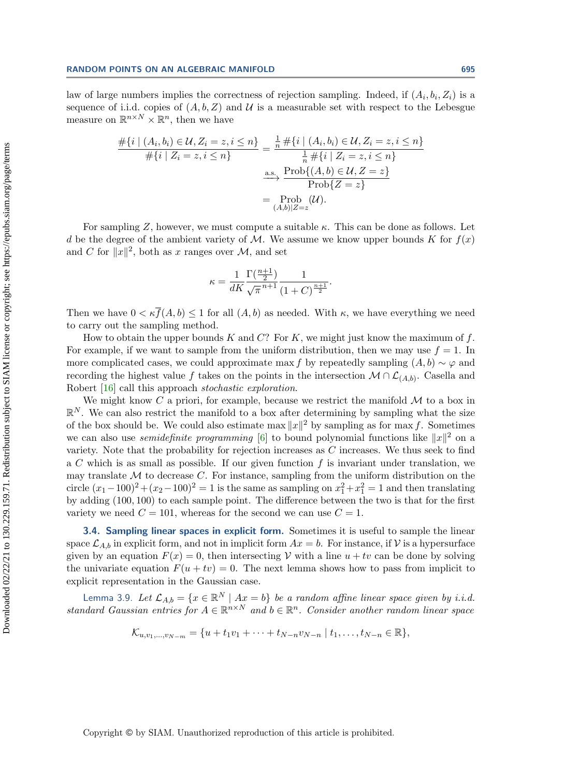law of large numbers implies the correctness of rejection sampling. Indeed, if  $(A_i, b_i, Z_i)$  is a sequence of i.i.d. copies of  $(A, b, Z)$  and  $\mathcal U$  is a measurable set with respect to the Lebesgue measure on  $\mathbb{R}^{n \times N} \times \mathbb{R}^n$ , then we have

$$
\frac{\#\{i \mid (A_i, b_i) \in \mathcal{U}, Z_i = z, i \le n\}}{\#\{i \mid Z_i = z, i \le n\}} = \frac{\frac{1}{n} \#\{i \mid (A_i, b_i) \in \mathcal{U}, Z_i = z, i \le n\}}{\frac{1}{n} \#\{i \mid Z_i = z, i \le n\}}\n\xrightarrow{\text{as.}} \frac{\text{Prob}\{(A, b) \in \mathcal{U}, Z = z\}}{\text{Prob}\{Z = z\}}\n= \frac{\text{Prob}}{(A, b)|Z=z}(\mathcal{U}).
$$

For sampling Z, however, we must compute a suitable  $\kappa$ . This can be done as follows. Let d be the degree of the ambient variety of M. We assume we know upper bounds K for  $f(x)$ and C for  $\|x\|^2$ , both as x ranges over  $\mathcal{M}$ , and set

$$
\kappa = \frac{1}{dK} \frac{\Gamma(\frac{n+1}{2})}{\sqrt{\pi}^{n+1}} \frac{1}{(1+C)^{\frac{n+1}{2}}}.
$$

Then we have  $0 < \kappa \bar{f}(A, b) \leq 1$  for all  $(A, b)$  as needed. With  $\kappa$ , we have everything we need to carry out the sampling method.

How to obtain the upper bounds K and  $C$ ? For K, we might just know the maximum of f. For example, if we want to sample from the uniform distribution, then we may use  $f = 1$ . In more complicated cases, we could approximate max f by repeatedly sampling  $(A, b) \sim \varphi$  and recording the highest value f takes on the points in the intersection  $\mathcal{M} \cap \mathcal{L}_{(A,b)}$ . Casella and Robert [\[16\]](#page-20-15) call this approach stochastic exploration.

We might know C a priori, for example, because we restrict the manifold  $\cal{M}$  to a box in  $\mathbb{R}^N$ . We can also restrict the manifold to a box after determining by sampling what the size of the box should be. We could also estimate max  $||x||^2$  by sampling as for max f. Sometimes we can also use *semidefinite programming* [\[6\]](#page-20-16) to bound polynomial functions like  $\| x\|^2$  on a variety. Note that the probability for rejection increases as  $C$  increases. We thus seek to find a C which is as small as possible. If our given function  $f$  is invariant under translation, we may translate  $\cal{M}$  to decrease C. For instance, sampling from the uniform distribution on the circle  $(x_1 - 100)^2 + (x_2 - 100)^2 = 1$  is the same as sampling on  $x_1^2 + x_1^2 = 1$  and then translating by adding (100, 100) to each sample point. The difference between the two is that for the first variety we need  $C = 101$ , whereas for the second we can use  $C = 1$ .

3.4. Sampling linear spaces in explicit form. Sometimes it is useful to sample the linear space  $\mathcal{L}_{A,b}$  in explicit form, and not in implicit form  $Ax = b$ . For instance, if  $\mathcal V$  is a hypersurface given by an equation  $F(x) = 0$ , then intersecting  $\mathcal V$  with a line  $u + tv$  can be done by solving the univariate equation  $F(u + tv) = 0$ . The next lemma shows how to pass from implicit to explicit representation in the Gaussian case.

Lemma 3.9. Let  $\mathcal L_{A,b} = \{ x \in \mathbb R^N \mid Ax = b\}$  be a random affine linear space given by i.i.d. standard Gaussian entries for  $A \in \mathbb{R}^{n \times N}$  and  $b \in \mathbb{R}^n$ . Consider another random linear space

$$
\mathcal{K}_{u,v_1,...,v_{N-m}} = \{u + t_1v_1 + \cdots + t_{N-n}v_{N-n} \mid t_1,...,t_{N-n} \in \mathbb{R}\},\
$$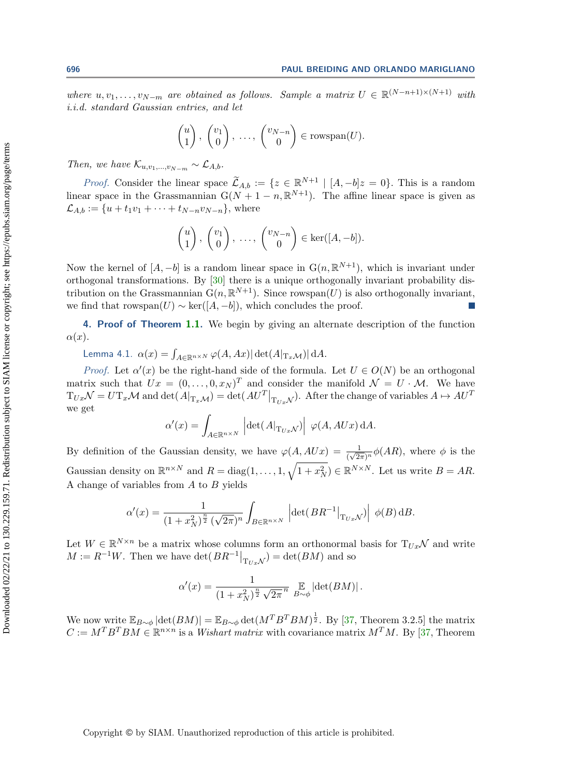where  $u, v_1, \ldots, v_{N-m}$  are obtained as follows. Sample a matrix  $U \in \mathbb{R}^{(N-n+1)\times (N+1)}$  with i.i.d. standard Gaussian entries, and let

$$
\begin{pmatrix} u \\ 1 \end{pmatrix}, \begin{pmatrix} v_1 \\ 0 \end{pmatrix}, \dots, \begin{pmatrix} v_{N-n} \\ 0 \end{pmatrix} \in \text{rowspan}(U).
$$

Then, we have  $\mathcal{K}_{u,v_1,...,v_{N-m}} \sim \mathcal{L}_{A,b}$ .

*Proof.* Consider the linear space  $\widetilde{\mathcal{L}}_{A,b} := \{ z \in \mathbb{R}^{N+1} \mid [A, -b]z = 0\}$ . This is a random linear space in the Grassmannian  $G(N + 1 - n, \mathbb{R}^{N+1})$ . The affine linear space is given as  $\mathcal L_{A,b} := \{ u + t_1v_1 + \cdots + t_{N - n}v_{N - n}\}$ , where

$$
\begin{pmatrix} u \\ 1 \end{pmatrix}, \begin{pmatrix} v_1 \\ 0 \end{pmatrix}, \ldots, \begin{pmatrix} v_{N-n} \\ 0 \end{pmatrix} \in \ker([A, -b]).
$$

Now the kernel of  $[A, -b]$  is a random linear space in  $G(n, \mathbb{R}^{N+1})$ , which is invariant under orthogonal transformations. By [\[30\]](#page-21-18) there is a unique orthogonally invariant probability distribution on the Grassmannian  $\mathbf{G}(n, \mathbb{R}^{N+1})$ . Since rowspan $(U)$  is also orthogonally invariant, we find that rowspan $(U) \sim \text{ker}([A, -b])$ , which concludes the proof.

<span id="page-13-0"></span>4. Proof of Theorem [1.1.](#page-2-0) We begin by giving an alternate description of the function  $\alpha (x).$ 

<span id="page-13-1"></span>Lemma 4.1.  $\alpha (x) = \int_{A\in \Bbb R^{n\times N}} \varphi (A, Ax)| \det(A|_{\mathrm{T}_x\mathcal{M}} )| \, \mathrm{d}A.$ 

*Proof.* Let  $\alpha'(x)$  be the right-hand side of the formula. Let  $U \in O(N)$  be an orthogonal matrix such that  $Ux = (0, \ldots, 0, x_N)^T$  and consider the manifold  $\mathcal{N} = U \cdot \mathcal{M}$ . We have  $\mathrm{T}_{Ux}\mathcal{N} = U \mathrm{T}_{x}\mathcal{M}$  and  $\det(A|_{\mathrm{T}_{x}\mathcal{M}}) = \det(AU^{T}|_{\mathrm{T}_{Ux}\mathcal{N}})$ . After the change of variables  $A \mapsto AU^{T}$ we get

$$
\alpha'(x) = \int_{A \in \mathbb{R}^{n \times N}} \left| \det(A|_{\mathrm{T}_{Ux} \mathcal{N}}) \right| \, \varphi(A, AUx) \, \mathrm{d}A.
$$

By definition of the Gaussian density, we have  $\varphi(A, AUx) = \frac{1}{(\sqrt{2\pi})^n} \phi(AR)$ , where  $\phi$  is the Gaussian density on  $\mathbb{R}^{n\times N}$  and  $R = \text{diag}(1, \ldots, 1, \sqrt{1 + x_N^2}) \in \mathbb{R}^{N \times N}$ . Let us write  $B = AR$ . A change of variables from  $A$  to  $B$  yields

$$
\alpha'(x) = \frac{1}{(1+x_N^2)^{\frac{n}{2}}\left(\sqrt{2\pi}\right)^n} \int_{B \in \mathbb{R}^{n \times N}} \left| \det(BR^{-1}|_{\mathrm{T}_{Ux}\mathcal{N}}) \right| \phi(B) \, \mathrm{d}B.
$$

Let  $W \in \mathbb{R}^{N \times n}$  be a matrix whose columns form an orthonormal basis for  $T_{Ux}\mathcal{N}$  and write  $M := R^{-1}W$ . Then we have  $\det(BR^{-1}|_{\mathrm{T}_{Ux}\mathcal{N}}) = \det(BM)$  and so

$$
\alpha'(x) = \frac{1}{(1+x_N^2)^{\frac{n}{2}}\sqrt{2\pi}^n} \mathop{\mathbb{E}}_{B \sim \phi} \left| \det(BM) \right|.
$$

We now write  $\mathbb E_{B\sim \phi} |\text{det}(BM)| = \mathbb E_{B\sim \phi} \text{det}(M^T B^T BM)^{\frac{1}{2}}$ . By [\[37,](#page-21-19) Theorem 3.2.5] the matrix  $C := M^T B^T B M \in \mathbb R^{n \times n}$  is a *Wishart matrix* with covariance matrix  $M^T M$ . By [\[37,](#page-21-19) Theorem

Copyright © by SIAM. Unauthorized reproduction of this article is prohibited.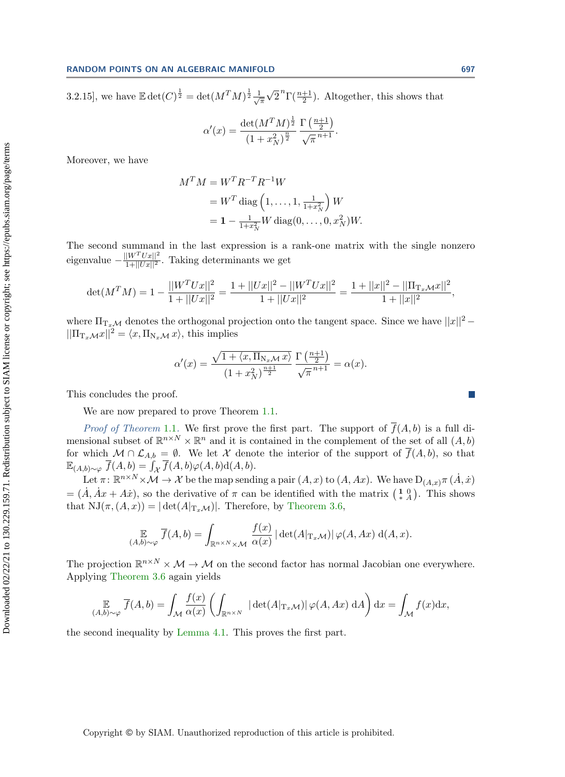3.2.15], we have  $\mathbb{E} \det(C)^{\frac{1}{2}} = \det(M^TM)^{\frac{1}{2}} \frac{1}{\sqrt{2}}$  $\overline{\pi}$  $\overline{\phantom{a}}$  $\overline{2}^n\Gamma(\frac{n+1}{2})$ . Altogether, this shows that

$$
\alpha'(x) = \frac{\det(M^T M)^{\frac{1}{2}}}{(1 + x_N^2)^{\frac{n}{2}}} \frac{\Gamma(\frac{n+1}{2})}{\sqrt{\pi}^{n+1}}.
$$

Moreover, we have

$$
M^{T} M = W^{T} R^{-T} R^{-1} W
$$
  
=  $W^{T}$  diag  $\left(1, ..., 1, \frac{1}{1 + x_{N}^{2}}\right) W$   
=  $1 - \frac{1}{1 + x_{N}^{2}} W$  diag $(0, ..., 0, x_{N}^{2}) W$ .

The second summand in the last expression is a rank-one matrix with the single nonzero eigenvalue  $-\frac{||W^T Ux||^2}{1+||Ux||^2}$ . Taking determinants we get

$$
\det(M^T M) = 1 - \frac{||W^T Ux||^2}{1 + ||Ux||^2} = \frac{1 + ||Ux||^2 - ||W^T Ux||^2}{1 + ||Ux||^2} = \frac{1 + ||x||^2 - ||\Pi_{T_x M} x||^2}{1 + ||x||^2},
$$

where  $\Pi_{\mathrm{T}_{x}\mathcal{M}}$  denotes the orthogonal projection onto the tangent space. Since we have  $||x||^2 || \Pi_{\mathrm{T}_x\mathcal{M}} x ||^2 = \langle x, \Pi_{\mathrm{N}_x\mathcal{M}} x\rangle ,$  this implies

$$
\alpha'(x) = \frac{\sqrt{1 + \langle x, \Pi_{N_x \mathcal{M}} x \rangle}}{(1 + x_N^2)^{\frac{n+1}{2}}} \frac{\Gamma\left(\frac{n+1}{2}\right)}{\sqrt{\pi}^{n+1}} = \alpha(x).
$$

This concludes the proof.

We are now prepared to prove Theorem [1.1.](#page-2-0)

*Proof of Theorem* [1.1](#page-2-0). We first prove the first part. The support of  $\overline{f}(A, b)$  is a full dimensional subset of  $\mathbb{R}^{n \times N} \times \mathbb{R}^n$  and it is contained in the complement of the set of all  $(A, b)$ for which  $\mathcal M \cap \mathcal L_{A,b} = \emptyset$ . We let X denote the interior of the support of  $\overline{f}(A, b)$ , so that  $\Bbb E_{(A, b)\sim \varphi} \ \overline{f}(A, b) = \int_{\mathcal X} \overline{f}(A, b)\varphi(A, b)\mathrm{d}(A, b).$ 

Let  $\pi \colon \mathbb R^{n \times N} \times \mathcal{M} \to \mathcal{X}$  be the map sending a pair  $(A, x)$  to  $(A, Ax)$ . We have  $D_{(A,x)}\pi (\dot{A}, \dot{x})$  $=(\dot{A}, \dot{A}x + A\dot{x})$ , so the derivative of  $\pi$  can be identified with the matrix  $\begin{pmatrix} 1 & 0 \\ * & A \end{pmatrix}$ . This shows that  $\mathrm{NJ}(\pi , (A, x)) = |\det(A|_{\mathrm{T}_x\mathcal{M}})|$ . Therefore, by [Theorem 3.6,](#page-10-0)

$$
\mathop{\mathbb{E}}_{(A,b)\sim\varphi} \overline{f}(A,b) = \int_{\mathbb{R}^{n\times N}\times\mathcal{M}} \frac{f(x)}{\alpha(x)} |\det(A|_{\mathrm{T}_x\mathcal{M}})| \varphi(A,Ax) d(A,x).
$$

The projection  $\mathbb{R}^{n \times N} \times \mathcal{M} \rightarrow \mathcal{M}$  on the second factor has normal Jacobian one everywhere. Applying [Theorem 3.6](#page-10-0) again yields

$$
\mathop{\mathbb{E}}_{(A,b)\sim\varphi} \overline{f}(A,b) = \int_{\mathcal{M}} \frac{f(x)}{\alpha(x)} \left( \int_{\mathbb{R}^{n\times N}} |\det(A|_{T_x\mathcal{M}})| \varphi(A,Ax) \, \mathrm{d}A \right) \mathrm{d}x = \int_{\mathcal{M}} f(x) \mathrm{d}x,
$$

the second inequality by [Lemma 4.1.](#page-13-1) This proves the first part.

Copyright © by SIAM. Unauthorized reproduction of this article is prohibited.

 $\mathcal{C}^{\mathcal{A}}$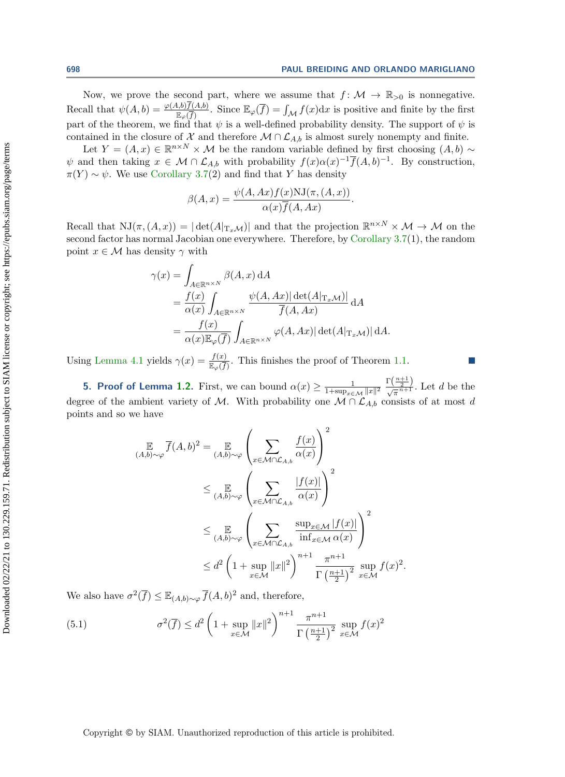Now, we prove the second part, where we assume that  $f : \mathcal{M} \rightarrow \mathbb{R}_{>0}$  is nonnegative. Recall that  $\psi(A, b) = \frac{\varphi(A, b)f(A, b)}{\mathbb{E}_{\varphi}(\overline{f})}$ . Since  $\mathbb{E}_{\varphi}(\overline{f}) = \int_{\mathcal{M}} f(x)dx$  is positive and finite by the first part of the theorem, we find that  $\psi$  is a well-defined probability density. The support of  $\psi$  is contained in the closure of  $\mathcal X$  and therefore  $\mathcal M \cap \mathcal L_{A,b}$  is almost surely nonempty and finite.

Let  $Y = (A, x) \in \mathbb{R}^{n \times N} \times \mathcal{M}$  be the random variable defined by first choosing  $(A, b) \sim$  $\psi$  and then taking  $x \in \mathcal{M} \cap \mathcal{L}_{A,b}$  with probability  $f(x)\alpha (x)^{-1}\overline{f}(A, b)^{-1}$ . By construction,  $\pi (Y) \sim \psi$ . We use [Corollary 3.7\(](#page-10-1)2) and find that Y has density

$$
\beta(A, x) = \frac{\psi(A, Ax)f(x)NJ(\pi, (A, x))}{\alpha(x)\overline{f}(A, Ax)}.
$$

Recall that  $\mathrm{NJ}(\pi , (A, x)) = |\det(A |_{\mathrm{T}_x\mathcal{M}} )|$  and that the projection  $\mathbb{R}^{n \times N} \times \mathcal{M} \to \mathcal{M}$  on the second factor has normal Jacobian one everywhere. Therefore, by [Corollary 3.7\(](#page-10-1)1), the random point  $x \in \mathcal{M}$  has density  $\gamma$  with

$$
\gamma(x) = \int_{A \in \mathbb{R}^{n \times N}} \beta(A, x) dA
$$
  
=  $\frac{f(x)}{\alpha(x)} \int_{A \in \mathbb{R}^{n \times N}} \frac{\psi(A, Ax)| \det(A|_{T_x} \mathcal{M})}{\overline{f}(A, Ax)} dA$   
=  $\frac{f(x)}{\alpha(x) \mathbb{E}_{\varphi}(\overline{f})} \int_{A \in \mathbb{R}^{n \times N}} \varphi(A, Ax)| \det(A|_{T_x} \mathcal{M}) | dA.$ 

Using [Lemma 4.1](#page-13-1) yields  $\gamma(x) = \frac{f(x)}{\mathbb{E}_{\varphi}(\overline{f})}$ . This finishes the proof of Theorem [1.1.](#page-2-0)

<span id="page-15-0"></span>**5. Proof of Lemma [1.2.](#page-2-1)** First, we can bound  $\alpha (x) \geq \frac{1}{1+\epsilon n n}$  $\frac{1}{1+\sup_{x\in \mathcal{M}} \| x\|^2} \frac{\Gamma(\frac{n+1}{2})}{\sqrt{\pi}^{n+1}}$ . Let d be the degree of the ambient variety of M. With probability one  $\overline{\mathcal{M} \cap \mathcal{L}_{A,b}}$  consists of at most d points and so we have

$$
\mathbb{E}_{(A,b)\sim\varphi} \overline{f}(A,b)^2 = \mathbb{E}_{(A,b)\sim\varphi} \left( \sum_{x \in \mathcal{M} \cap \mathcal{L}_{A,b}} \frac{f(x)}{\alpha(x)} \right)^2
$$
\n
$$
\leq \mathbb{E}_{(A,b)\sim\varphi} \left( \sum_{x \in \mathcal{M} \cap \mathcal{L}_{A,b}} \frac{|f(x)|}{\alpha(x)} \right)^2
$$
\n
$$
\leq \mathbb{E}_{(A,b)\sim\varphi} \left( \sum_{x \in \mathcal{M} \cap \mathcal{L}_{A,b}} \frac{\sup_{x \in \mathcal{M}} |f(x)|}{\inf_{x \in \mathcal{M}} \alpha(x)} \right)^2
$$
\n
$$
\leq d^2 \left( 1 + \sup_{x \in \mathcal{M}} ||x||^2 \right)^{n+1} \frac{\pi^{n+1}}{\Gamma(\frac{n+1}{2})^2} \sup_{x \in \mathcal{M}} f(x)^2.
$$

We also have  $\sigma^2(\overline{f}) \leq \mathbb{E}_{(A, b)\sim \varphi} \overline{f}(A, b)^2$  and, therefore,

<span id="page-15-1"></span>(5.1) 
$$
\sigma^{2}(\overline{f}) \leq d^{2} \left(1 + \sup_{x \in \mathcal{M}} \|x\|^{2}\right)^{n+1} \frac{\pi^{n+1}}{\Gamma\left(\frac{n+1}{2}\right)^{2}} \sup_{x \in \mathcal{M}} f(x)^{2}
$$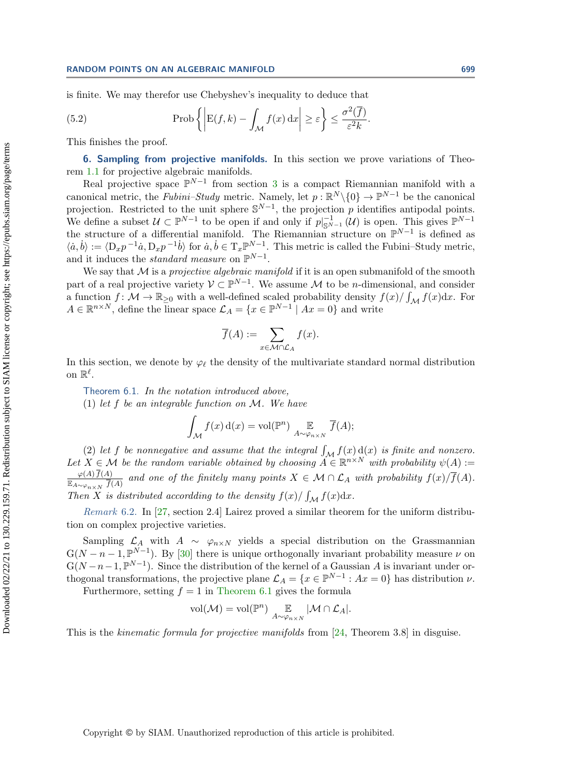is finite. We may therefor use Chebyshev's inequality to deduce that

(5.2) 
$$
\text{Prob}\left\{ \left| E(f,k) - \int_{\mathcal{M}} f(x) \, dx \right| \geq \varepsilon \right\} \leq \frac{\sigma^2(\overline{f})}{\varepsilon^2 k}.
$$

This finishes the proof.

<span id="page-16-0"></span>6. Sampling from projective manifolds. In this section we prove variations of Theorem [1.1](#page-2-0) for projective algebraic manifolds.

Real projective space  $\mathbb{P}^{N-1}$  from section [3](#page-8-0) is a compact Riemannian manifold with a canonical metric, the Fubini-Study metric. Namely, let  $p : \mathbb{R}^N \setminus \{0\} \rightarrow \mathbb{P}^{N-1}$  be the canonical projection. Restricted to the unit sphere  $\mathbb{S}^{N-1}$ , the projection p identifies antipodal points. We define a subset  $\mathcal{U} \subset \mathbb{P}^{N-1}$  to be open if and only if  $p|_{\mathbb{S}^{N-1}}^{-1}(\mathcal{U})$  is open. This gives  $\mathbb{P}^{N-1}$ the structure of a differential manifold. The Riemannian structure on  $\mathbb{P}^{N-1}$  is defined as  $\langle \dot{a}, \dot{b} \rangle := \langle D_x p^{-1} \dot{a}, D_x p^{-1} \dot{b} \rangle$  for  $\dot{a}, \dot{b} \in T_x \mathbb{P}^{N-1}$ . This metric is called the Fubini-Study metric, and it induces the *standard measure* on  $\mathbb{P}^{N-1}$ .

We say that  $\mathcal M$  is a projective algebraic manifold if it is an open submanifold of the smooth part of a real projective variety  $\mathcal{V} \subset \mathbb{P}^{N-1}$ . We assume M to be *n*-dimensional, and consider a function  $f: \mathcal{M} \rightarrow \mathbb{R}_{\geq 0}$  with a well-defined scaled probability density  $f(x)/\int_{\mathcal{M}} f(x)dx$ . For  $A \in \mathbb{R}^{n \times N}$ , define the linear space  $\mathcal{L}_A = \{ x \in \mathbb{P}^{N-1} \mid Ax = 0 \}$  and write

$$
\overline{f}(A) := \sum_{x \in \mathcal{M} \cap \mathcal{L}_A} f(x).
$$

In this section, we denote by  $\varphi_{\ell}$  the density of the multivariate standard normal distribution on  $\mathbb R^\ell$ .

<span id="page-16-1"></span>Theorem 6.1. In the notation introduced above, (1) let f be an integrable function on  $\cal M$ . We have

$$
\int_{\mathcal{M}} f(x) d(x) = \text{vol}(\mathbb{P}^n) \underset{A \sim \varphi_{n \times N}}{\mathbb{E}} \overline{f}(A);
$$

(2) let f be nonnegative and assume that the integral  $\int_{\mathcal M} f(x) d(x)$  is finite and nonzero. Let  $X \in \mathcal{M}$  be the random variable obtained by choosing  $\widetilde{A} \in \mathbb{R}^{n \times N}$  with probability  $\psi(A) :=$  $\varphi (A) f(A)$  $\frac{\varphi(A) f(A)}{\mathbb{E}_{A\sim \varphi_{n\times N}} \bar{f}(A)}$  and one of the finitely many points  $X \in \mathcal{M} \cap \mathcal{L}_A$  with probability  $f(x)/f(A)$ . Then X is distributed according to the density  $f(x)/\int_{\mathcal M} f(x)dx$ .

Remark 6.2. In [\[27,](#page-21-20) section 2.4] Lairez proved a similar theorem for the uniform distribution on complex projective varieties.

Sampling  $\mathcal{L}_A$  with  $A \sim \varphi_{n\times N}$  yields a special distribution on the Grassmannian  $G(N - n - 1, \mathbb{P}^{N-1})$ . By [\[30\]](#page-21-18) there is unique orthogonally invariant probability measure  $\nu$  on  $G(N - n - 1, \mathbb{P}^{N-1})$ . Since the distribution of the kernel of a Gaussian A is invariant under orthogonal transformations, the projective plane  $\mathcal{L}_A = \{ x \in \Bbb P^{N-1} : Ax = 0 \}$  has distribution  $\nu$ .

Furthermore, setting  $f = 1$  in [Theorem 6.1](#page-16-1) gives the formula

$$
\mathrm{vol}(\mathcal{M})=\mathrm{vol}(\mathbb{P}^n)\underset{A\sim\varphi_{n\times N}}{\mathbb{E}}|\mathcal{M}\cap\mathcal{L}_A|.
$$

This is the kinematic formula for projective manifolds from [\[24,](#page-21-17) Theorem 3.8] in disguise.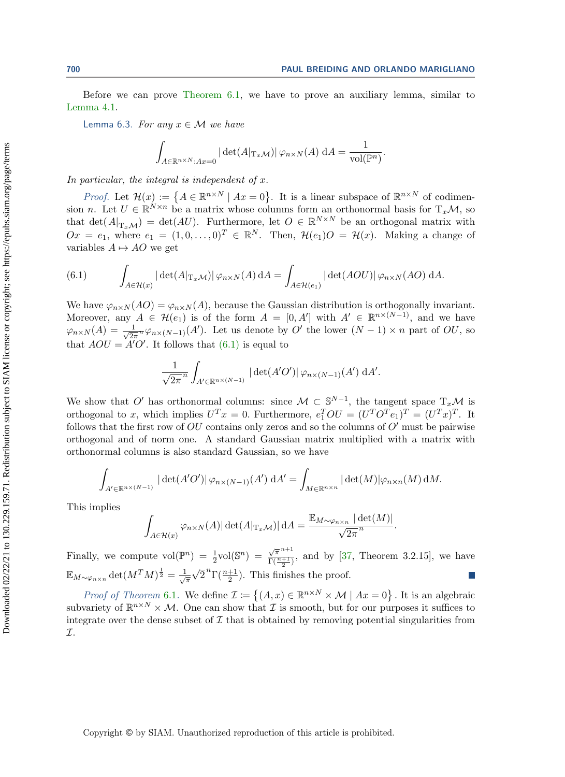Before we can prove [Theorem 6.1,](#page-16-1) we have to prove an auxiliary lemma, similar to [Lemma 4.1.](#page-13-1)

<span id="page-17-1"></span>Lemma 6.3. For any  $x \in \mathcal{M}$  we have

$$
\int_{A \in \mathbb{R}^{n \times N}:Ax=0} |\det(A|_{\mathrm{T}_x \mathcal{M}})| \varphi_{n \times N}(A) dA = \frac{1}{\mathrm{vol}(\mathbb{P}^n)}.
$$

In particular, the integral is independent of x.

*Proof.* Let  $\mathcal{H}(x) := \{ A \in \mathbb{R}^{n \times N} \mid Ax = 0 \}.$  It is a linear subspace of  $\mathbb{R}^{n \times N}$  of codimension *n*. Let  $U \in \mathbb{R}^{N \times n}$  be a matrix whose columns form an orthonormal basis for  $T_x\mathcal{M}$ , so that  $\det(A|_{\mathrm{T}_x\mathcal{M}} ) = \det(AU)$ . Furthermore, let  $O \in \mathbb{R}^{N \times N}$  be an orthogonal matrix with  $Ox = e_1$ , where  $e_1 = (1, 0, \ldots, 0)^T \in \mathbb{R}^N$ . Then,  $\mathcal{H}(e_1)O = \mathcal{H}(x)$ . Making a change of variables  $A \mapsto AO$  we get

<span id="page-17-0"></span>(6.1) 
$$
\int_{A \in \mathcal{H}(x)} |\det(A|_{T_x \mathcal{M}})| \varphi_{n \times N}(A) dA = \int_{A \in \mathcal{H}(e_1)} |\det(AOU)| \varphi_{n \times N}(AO) dA.
$$

We have  $\varphi_{n\times N} (AO) = \varphi_{n\times N} (A)$ , because the Gaussian distribution is orthogonally invariant. Moreover, any  $A \in \mathcal{H}(e_1)$  is of the form  $A = [0, A']$  with  $A' \in \mathbb{R}^{n \times (N-1)}$ , and we have  $\varphi_{n\times N} (A) = \frac{1}{\sqrt{2n}}$  $\frac{1}{2\pi} \varphi_{n \times (N-1)}(A')$ . Let us denote by O' the lower  $(N - 1) \times n$  part of OU, so that  $AOU = A'O'$ . It follows that  $(6.1)$  is equal to

$$
\frac{1}{\sqrt{2\pi}^n} \int_{A' \in \mathbb{R}^{n \times (N-1)}} |\det(A'O')| \varphi_{n \times (N-1)}(A') \, \mathrm{d}A'.
$$

We show that O' has orthonormal columns: since  $\mathcal{M} \subset \mathbb S^{N-1}$ , the tangent space  $T_x\mathcal{M}$  is orthogonal to x, which implies  $U^T x = 0$ . Furthermore,  $e_1^T O U = (U^T O^T e_1)^T = (U^T x)^T$ . It follows that the first row of  $OU$  contains only zeros and so the columns of  $O'$  must be pairwise orthogonal and of norm one. A standard Gaussian matrix multiplied with a matrix with orthonormal columns is also standard Gaussian, so we have

$$
\int_{A' \in \mathbb{R}^{n \times (N-1)}} |\det(A'O')| \varphi_{n \times (N-1)}(A') \, dA' = \int_{M \in \mathbb{R}^{n \times n}} |\det(M)| \varphi_{n \times n}(M) \, dM.
$$

This implies

$$
\int_{A \in \mathcal{H}(x)} \varphi_{n \times N}(A) |\det(A|_{\mathrm{T}_x \mathcal{M}})| \, \mathrm{d}A = \frac{\mathbb{E}_{M \sim \varphi_{n \times n}} |\det(M)|}{\sqrt{2\pi}^n}.
$$

Finally, we compute  $vol(\mathbb{P}^n) = \frac{1}{2}vol(\mathbb{S}^n) =$  $\sqrt{\pi}^{n+1}$  $\frac{\sqrt{\pi}}{\Gamma(\frac{n+1}{2})}$ , and by [\[37,](#page-21-19) Theorem 3.2.15], we have  $\mathbb E_{M\sim \varphi_{n\times n}} \det(M^TM)^{\frac{1}{2}} = \frac{1}{\sqrt{n}}$  $\overline{\pi}$  $\overline{\phantom{a}}$  $\overline{2}^n\Gamma(\frac{n+1}{2})$ . This finishes the proof.

*Proof of Theorem* [6.1](#page-16-1). We define  $\mathcal{I} := \{(A, x) \in \mathbb{R}^{n \times N} \times \mathcal{M} \mid Ax = 0\}$ . It is an algebraic subvariety of  $\mathbb{R}^{n\times N} \times \mathcal{M}$ . One can show that  $\mathcal I$  is smooth, but for our purposes it suffices to integrate over the dense subset of  $\mathcal I$  that is obtained by removing potential singularities from  $\tau$ .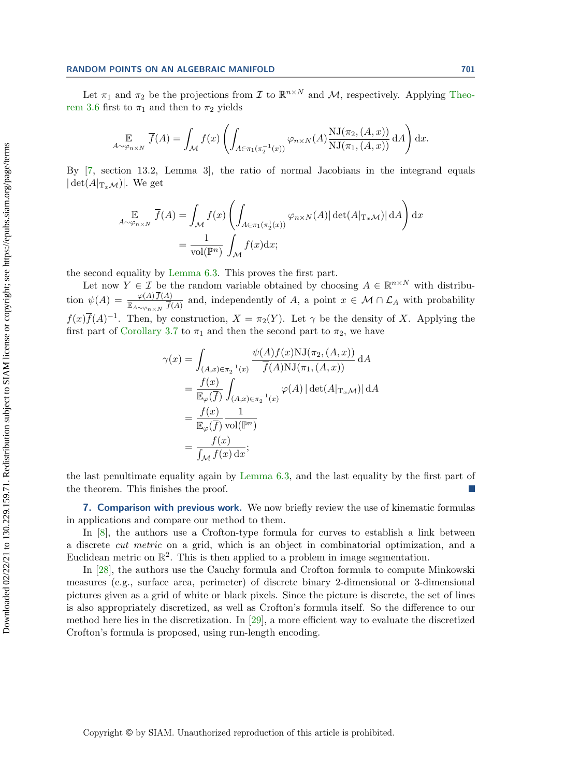Let  $\pi_1$  and  $\pi_2$  be the projections from  $\mathcal I$  to  $\Bbb R^{n\times N}$  and  $\mathcal M$ , respectively. Applying [Theo](#page-10-0)[rem 3.6](#page-10-0) first to  $\pi_1$  and then to  $\pi_2$  yields

$$
\mathop{\mathbb{E}}_{A \sim \varphi_{n \times N}} \overline{f}(A) = \int_{\mathcal{M}} f(x) \left( \int_{A \in \pi_1(\pi_2^{-1}(x))} \varphi_{n \times N}(A) \frac{\mathrm{NJ}(\pi_2, (A, x))}{\mathrm{NJ}(\pi_1, (A, x))} \, \mathrm{d}A \right) \mathrm{d}x.
$$

By [\[7,](#page-20-17) section 13.2, Lemma 3], the ratio of normal Jacobians in the integrand equals  $|\det(A|_{\mathrm{T}_x\mathcal{M}})|$ . We get

$$
\mathbb{E}_{A \sim \varphi_{n \times N}} \overline{f}(A) = \int_{\mathcal{M}} f(x) \left( \int_{A \in \pi_1(\pi_2^1(x))} \varphi_{n \times N}(A) |\det(A|_{\mathrm{T}_x \mathcal{M}})| \, \mathrm{d}A \right) \mathrm{d}x
$$
\n
$$
= \frac{1}{\mathrm{vol}(\mathbb{P}^n)} \int_{\mathcal{M}} f(x) \mathrm{d}x;
$$

the second equality by [Lemma 6.3.](#page-17-1) This proves the first part.

Let now  $Y \in \mathcal{I}$  be the random variable obtained by choosing  $A \in \mathbb{R}^{n \times N}$  with distribution  $\psi (A) = \frac{\varphi (A) f(A)}{\mathbb{E}_{A\sim \varphi_{n\times N}} \bar{f}(A)}$  and, independently of A, a point  $x \in \mathcal{M} \cap \mathcal{L}_A$  with probability  $f(x)\overline{f}(A)^{-1}$ . Then, by construction,  $X = \pi_2(Y)$ . Let  $\gamma$  be the density of X. Applying the first part of [Corollary 3.7](#page-10-1) to  $\pi_1$  and then the second part to  $\pi_2$ , we have

$$
\gamma(x) = \int_{(A,x)\in\pi_2^{-1}(x)} \frac{\psi(A)f(x)NJ(\pi_2,(A,x))}{\overline{f}(A)NJ(\pi_1,(A,x))} dA
$$
  
\n
$$
= \frac{f(x)}{\mathbb{E}_{\varphi}(\overline{f})} \int_{(A,x)\in\pi_2^{-1}(x)} \varphi(A) |\det(A|_{\mathcal{T}_x\mathcal{M}})| dA
$$
  
\n
$$
= \frac{f(x)}{\mathbb{E}_{\varphi}(\overline{f})} \frac{1}{\text{vol}(\mathbb{P}^n)}
$$
  
\n
$$
= \frac{f(x)}{\int_{\mathcal{M}} f(x) dx};
$$

the last penultimate equality again by [Lemma 6.3,](#page-17-1) and the last equality by the first part of the theorem. This finishes the proof.

<span id="page-18-0"></span>**7. Comparison with previous work.** We now briefly review the use of kinematic formulas in applications and compare our method to them.

In [\[8\]](#page-20-6), the authors use a Crofton-type formula for curves to establish a link between a discrete cut metric on a grid, which is an object in combinatorial optimization, and a Euclidean metric on  $\mathbb{R}^2$ . This is then applied to a problem in image segmentation.

In [\[28\]](#page-21-7), the authors use the Cauchy formula and Crofton formula to compute Minkowski measures (e.g., surface area, perimeter) of discrete binary 2-dimensional or 3-dimensional pictures given as a grid of white or black pixels. Since the picture is discrete, the set of lines is also appropriately discretized, as well as Crofton's formula itself. So the difference to our method here lies in the discretization. In [\[29\]](#page-21-8), a more efficient way to evaluate the discretized Crofton's formula is proposed, using run-length encoding.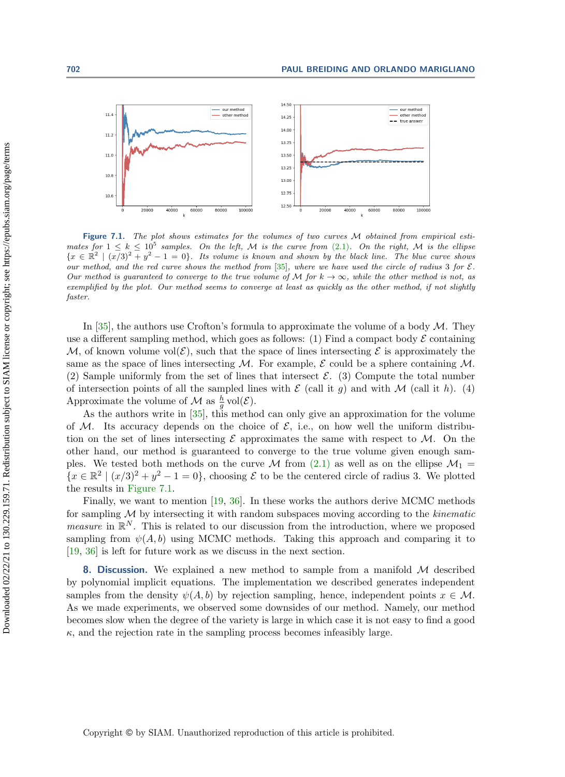<span id="page-19-1"></span>

Figure 7.1. The plot shows estimates for the volumes of two curves  $M$  obtained from empirical estimates for  $1 \leq k \leq 10^5$  samples. On the left, M is the curve from [\(2.1\)](#page-3-1). On the right, M is the ellipse  $\{ x \in \Bbb R^2 \mid (x/3)^2 + y^2 - 1 = 0 \}$ . Its volume is known and shown by the black line. The blue curve shows our method, and the red curve shows the method from [\[35\]](#page-21-9), where we have used the circle of radius 3 for  $\mathcal{E}$ . Our method is guaranteed to converge to the true volume of M for  $k \rightarrow \infty$ , while the other method is not, as exemplified by the plot. Our method seems to converge at least as quickly as the other method, if not slightly faster.

In [\[35\]](#page-21-9), the authors use Crofton's formula to approximate the volume of a body  $\cal M$ . They use a different sampling method, which goes as follows: (1) Find a compact body  $\mathcal E$  containing  $\mathcal M$ , of known volume vol( $\mathcal E$ ), such that the space of lines intersecting  $\mathcal E$  is approximately the same as the space of lines intersecting M. For example,  $\mathcal E$  could be a sphere containing M. (2) Sample uniformly from the set of lines that intersect  $\mathcal{E}$ . (3) Compute the total number of intersection points of all the sampled lines with  $\mathcal E$  (call it g) and with  $\mathcal M$  (call it h). (4) Approximate the volume of  $\mathcal M$  as  $\frac{h}{g}$  vol $(\mathcal E)$ .

As the authors write in [\[35\]](#page-21-9), this method can only give an approximation for the volume of M. Its accuracy depends on the choice of  $\mathcal E$ , i.e., on how well the uniform distribution on the set of lines intersecting  $\mathcal E$  approximates the same with respect to  $\mathcal M$ . On the other hand, our method is guaranteed to converge to the true volume given enough samples. We tested both methods on the curve  $\cal{M}$  from [\(2.1\)](#page-3-1) as well as on the ellipse  $\mathcal{M}_1 =$  $\{ x \in \Bbb R^2 \mid (x/3)^2 + y^2 - 1 = 0 \}$ , choosing  $\mathcal E$  to be the centered circle of radius 3. We plotted the results in [Figure 7.1.](#page-19-1)

Finally, we want to mention [\[19,](#page-21-21) [36\]](#page-21-22). In these works the authors derive MCMC methods for sampling  $\mathcal M$  by intersecting it with random subspaces moving according to the kinematic *measure* in  $\mathbb{R}^N$ . This is related to our discussion from the introduction, where we proposed sampling from  $\psi (A, b)$  using MCMC methods. Taking this approach and comparing it to [\[19,](#page-21-21) [36\]](#page-21-22) is left for future work as we discuss in the next section.

<span id="page-19-0"></span>**8. Discussion.** We explained a new method to sample from a manifold  $\mathcal M$  described by polynomial implicit equations. The implementation we described generates independent samples from the density  $\psi (A, b)$  by rejection sampling, hence, independent points  $x \in \mathcal{M}$ . As we made experiments, we observed some downsides of our method. Namely, our method becomes slow when the degree of the variety is large in which case it is not easy to find a good  $\kappa$ , and the rejection rate in the sampling process becomes infeasibly large.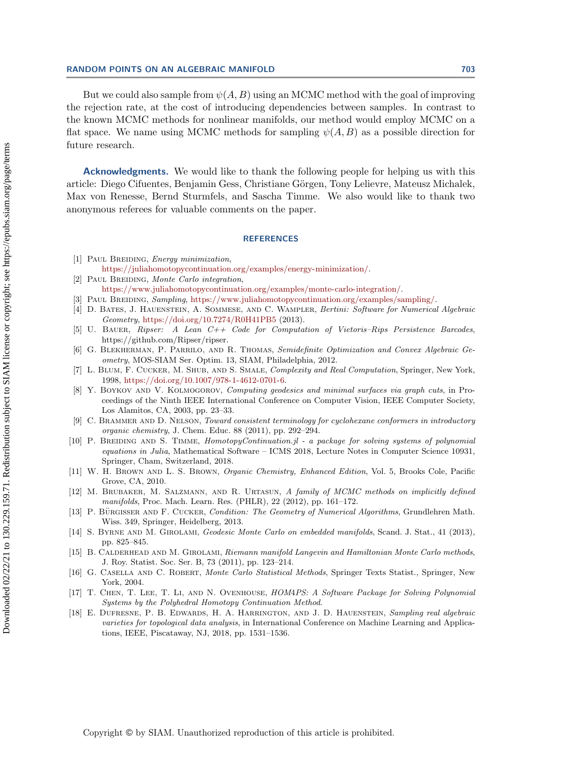## RANDOM POINTS ON AN ALGEBRAIC MANIFOLD 703

But we could also sample from  $\psi (A, B)$  using an MCMC method with the goal of improving the rejection rate, at the cost of introducing dependencies between samples. In contrast to the known MCMC methods for nonlinear manifolds, our method would employ MCMC on a flat space. We name using MCMC methods for sampling  $\psi (A, B)$  as a possible direction for future research.

Acknowledgments. We would like to thank the following people for helping us with this article: Diego Cifuentes, Benjamin Gess, Christiane G\"orgen, Tony Lelievre, Mateusz Michalek, Max von Renesse, Bernd Sturmfels, and Sascha Timme. We also would like to thank two anonymous referees for valuable comments on the paper.

## **REFERENCES**

- <span id="page-20-9"></span>[1] PAUL BREIDING, *Energy minimization*,
- <span id="page-20-7"></span>[https://juliahomotopycontinuation.org/examples/energy-minimization/.](https://juliahomotopycontinuation.org/examples/energy-minimization/) [2] PAUL BREIDING, Monte Carlo integration,
	- [https://www.juliahomotopycontinuation.org/examples/monte-carlo-integration/.](https://www.juliahomotopycontinuation.org/examples/monte-carlo-integration/)
- <span id="page-20-8"></span>[3] Paul Breiding, Sampling, [https://www.juliahomotopycontinuation.org/examples/sampling/.](https://www.juliahomotopycontinuation.org/examples/sampling/)
- <span id="page-20-3"></span>[4] D. Bates, J. Hauenstein, A. Sommese, and C. Wampler, Bertini: Software for Numerical Algebraic Geometry, <https://doi.org/10.7274/R0H41PB5> (2013).
- <span id="page-20-13"></span>[5] U. BAUER, Ripser: A Lean C++ Code for Computation of Vietoris-Rips Persistence Barcodes, https://github.com/Ripser/ripser.
- <span id="page-20-16"></span>[6] G. Blekherman, P. Parrilo, and R. Thomas, Semidefinite Optimization and Convex Algebraic Geometry, MOS-SIAM Ser. Optim. 13, SIAM, Philadelphia, 2012.
- <span id="page-20-17"></span>[7] L. Blum, F. Cucker, M. Shub, and S. Smale, Complexity and Real Computation, Springer, New York, 1998, [https://doi.org/10.1007/978-1-4612-0701-6.](https://doi.org/10.1007/978-1-4612-0701-6)
- <span id="page-20-6"></span>[8] Y. BOYKOV AND V. KOLMOGOROV, Computing geodesics and minimal surfaces via graph cuts, in Proceedings of the Ninth IEEE International Conference on Computer Vision, IEEE Computer Society, Los Alamitos, CA, 2003, pp. 23-33.
- <span id="page-20-11"></span>[9] C. BRAMMER AND D. NELSON, Toward consistent terminology for cyclohexane conformers in introductory  $organic$   $chemistry,$  J. Chem. Educ. 88 (2011), pp. 292-294.
- <span id="page-20-4"></span>[10] P. BREIDING AND S. TIMME, HomotopyContinuation.jl - a package for solving systems of polynomial equations in Julia, Mathematical Software  $-$  ICMS 2018, Lecture Notes in Computer Science 10931, Springer, Cham, Switzerland, 2018.
- <span id="page-20-10"></span>[11] W. H. Brown and L. S. Brown, Organic Chemistry, Enhanced Edition, Vol. 5, Brooks Cole, Pacific Grove, CA, 2010.
- <span id="page-20-0"></span>[12] M. BRUBAKER, M. SALZMANN, AND R. URTASUN, A family of MCMC methods on implicitly defined  $manifolds, Proc. Mach. Learn. Res. (PHLR), 22 (2012), pp. 161-172.$
- <span id="page-20-14"></span>[13] P. BÜRGISSER AND F. CUCKER, *Condition: The Geometry of Numerical Algorithms*, Grundlehren Math. Wiss. 349, Springer, Heidelberg, 2013.
- <span id="page-20-1"></span>[14] S. Byrne and M. Girolami, Geodesic Monte Carlo on embedded manifolds, Scand. J. Stat., 41 (2013), pp. 825-845.
- <span id="page-20-2"></span>[15] B. CALDERHEAD AND M. GIROLAMI, Riemann manifold Langevin and Hamiltonian Monte Carlo methods, J. Roy. Statist. Soc. Ser. B, 73 (2011), pp. 123-214.
- <span id="page-20-15"></span>[16] G. CASELLA AND C. ROBERT, Monte Carlo Statistical Methods, Springer Texts Statist., Springer, New York, 2004.
- <span id="page-20-5"></span>[17] T. Chen, T. Lee, T. Li, and N. Ovenhouse, HOM4PS: A Software Package for Solving Polynomial Systems by the Polyhedral Homotopy Continuation Method.
- <span id="page-20-12"></span>[18] E. Dufresne, P. B. Edwards, H. A. Harrington, and J. D. Hauenstein, Sampling real algebraic varieties for topological data analysis, in International Conference on Machine Learning and Applications, IEEE, Piscataway, NJ, 2018, pp. 1531-1536.